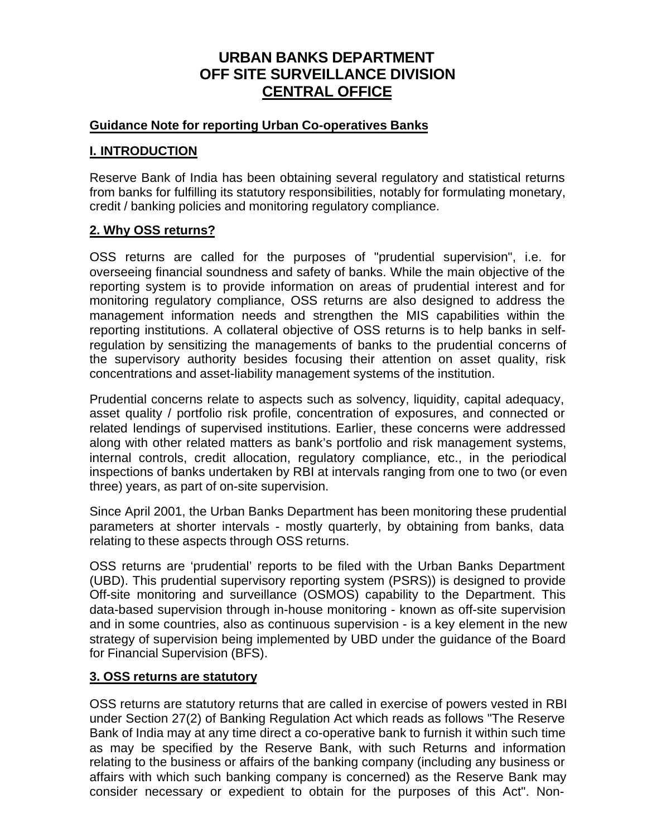# **URBAN BANKS DEPARTMENT OFF SITE SURVEILLANCE DIVISION CENTRAL OFFICE**

## **Guidance Note for reporting Urban Co-operatives Banks**

## **I. INTRODUCTION**

Reserve Bank of India has been obtaining several regulatory and statistical returns from banks for fulfilling its statutory responsibilities, notably for formulating monetary, credit / banking policies and monitoring regulatory compliance.

# **2. Why OSS returns?**

OSS returns are called for the purposes of "prudential supervision", i.e. for overseeing financial soundness and safety of banks. While the main objective of the reporting system is to provide information on areas of prudential interest and for monitoring regulatory compliance, OSS returns are also designed to address the management information needs and strengthen the MIS capabilities within the reporting institutions. A collateral objective of OSS returns is to help banks in selfregulation by sensitizing the managements of banks to the prudential concerns of the supervisory authority besides focusing their attention on asset quality, risk concentrations and asset-liability management systems of the institution.

Prudential concerns relate to aspects such as solvency, liquidity, capital adequacy, asset quality / portfolio risk profile, concentration of exposures, and connected or related lendings of supervised institutions. Earlier, these concerns were addressed along with other related matters as bank's portfolio and risk management systems, internal controls, credit allocation, regulatory compliance, etc., in the periodical inspections of banks undertaken by RBI at intervals ranging from one to two (or even three) years, as part of on-site supervision.

Since April 2001, the Urban Banks Department has been monitoring these prudential parameters at shorter intervals - mostly quarterly, by obtaining from banks, data relating to these aspects through OSS returns.

OSS returns are 'prudential' reports to be filed with the Urban Banks Department (UBD). This prudential supervisory reporting system (PSRS)) is designed to provide Off-site monitoring and surveillance (OSMOS) capability to the Department. This data-based supervision through in-house monitoring - known as off-site supervision and in some countries, also as continuous supervision - is a key element in the new strategy of supervision being implemented by UBD under the guidance of the Board for Financial Supervision (BFS).

### **3. OSS returns are statutory**

OSS returns are statutory returns that are called in exercise of powers vested in RBI under Section 27(2) of Banking Regulation Act which reads as follows "The Reserve Bank of India may at any time direct a co-operative bank to furnish it within such time as may be specified by the Reserve Bank, with such Returns and information relating to the business or affairs of the banking company (including any business or affairs with which such banking company is concerned) as the Reserve Bank may consider necessary or expedient to obtain for the purposes of this Act". Non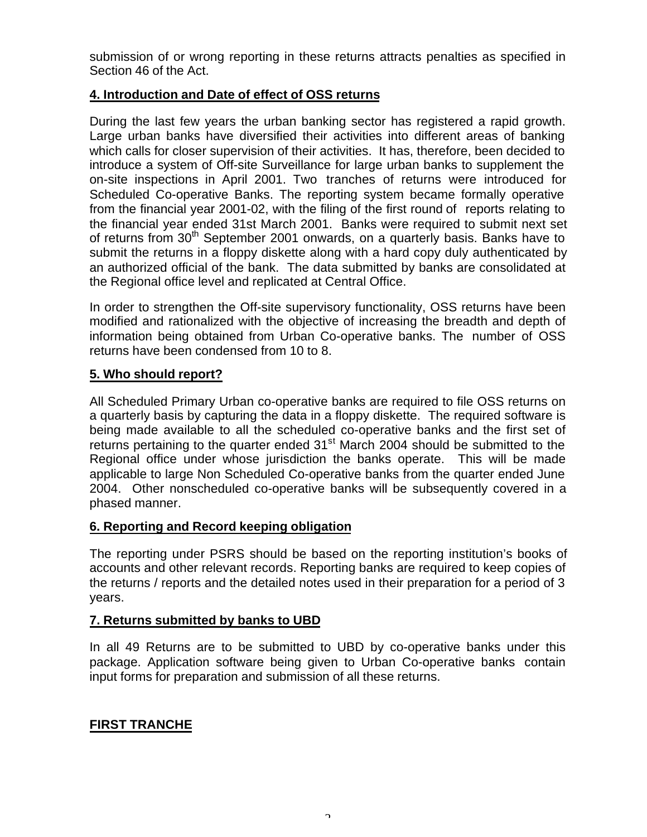submission of or wrong reporting in these returns attracts penalties as specified in Section 46 of the Act.

# **4. Introduction and Date of effect of OSS returns**

During the last few years the urban banking sector has registered a rapid growth. Large urban banks have diversified their activities into different areas of banking which calls for closer supervision of their activities. It has, therefore, been decided to introduce a system of Off-site Surveillance for large urban banks to supplement the on-site inspections in April 2001. Two tranches of returns were introduced for Scheduled Co-operative Banks. The reporting system became formally operative from the financial year 2001-02, with the filing of the first round of reports relating to the financial year ended 31st March 2001. Banks were required to submit next set of returns from  $30<sup>th</sup>$  September 2001 onwards, on a quarterly basis. Banks have to submit the returns in a floppy diskette along with a hard copy duly authenticated by an authorized official of the bank. The data submitted by banks are consolidated at the Regional office level and replicated at Central Office.

In order to strengthen the Off-site supervisory functionality, OSS returns have been modified and rationalized with the objective of increasing the breadth and depth of information being obtained from Urban Co-operative banks. The number of OSS returns have been condensed from 10 to 8.

# **5. Who should report?**

All Scheduled Primary Urban co-operative banks are required to file OSS returns on a quarterly basis by capturing the data in a floppy diskette. The required software is being made available to all the scheduled co-operative banks and the first set of returns pertaining to the quarter ended  $31<sup>st</sup>$  March 2004 should be submitted to the Regional office under whose jurisdiction the banks operate. This will be made applicable to large Non Scheduled Co-operative banks from the quarter ended June 2004. Other nonscheduled co-operative banks will be subsequently covered in a phased manner.

# **6. Reporting and Record keeping obligation**

The reporting under PSRS should be based on the reporting institution's books of accounts and other relevant records. Reporting banks are required to keep copies of the returns / reports and the detailed notes used in their preparation for a period of 3 years.

# **7. Returns submitted by banks to UBD**

In all 49 Returns are to be submitted to UBD by co-operative banks under this package. Application software being given to Urban Co-operative banks contain input forms for preparation and submission of all these returns.

# **FIRST TRANCHE**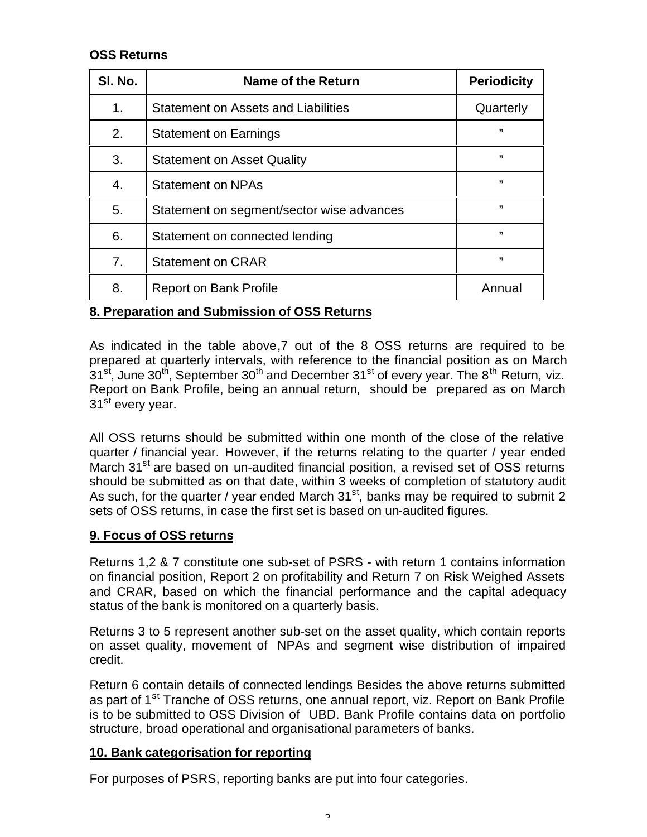# **OSS Returns**

| SI. No.        | Name of the Return                         | <b>Periodicity</b> |
|----------------|--------------------------------------------|--------------------|
| 1 <sub>1</sub> | <b>Statement on Assets and Liabilities</b> | Quarterly          |
| 2.             | <b>Statement on Earnings</b>               | "                  |
| 3.             | <b>Statement on Asset Quality</b>          | "                  |
| 4.             | <b>Statement on NPAs</b>                   | "                  |
| 5.             | Statement on segment/sector wise advances  | ,,                 |
| 6.             | Statement on connected lending             | ,,                 |
| 7 <sub>1</sub> | <b>Statement on CRAR</b>                   | ,,                 |
| 8.             | <b>Report on Bank Profile</b>              | Annual             |

# **8. Preparation and Submission of OSS Returns**

As indicated in the table above,7 out of the 8 OSS returns are required to be prepared at quarterly intervals, with reference to the financial position as on March  $31^{st}$ , June  $30^{th}$ , September  $30^{th}$  and December  $31^{st}$  of every year. The  $8^{th}$  Return, viz. Report on Bank Profile, being an annual return, should be prepared as on March 31<sup>st</sup> every year.

All OSS returns should be submitted within one month of the close of the relative quarter / financial year. However, if the returns relating to the quarter / year ended March 31<sup>st</sup> are based on un-audited financial position, a revised set of OSS returns should be submitted as on that date, within 3 weeks of completion of statutory audit As such, for the quarter / year ended March  $31<sup>st</sup>$ , banks may be required to submit 2 sets of OSS returns, in case the first set is based on un-audited figures.

### **9. Focus of OSS returns**

Returns 1,2 & 7 constitute one sub-set of PSRS - with return 1 contains information on financial position, Report 2 on profitability and Return 7 on Risk Weighed Assets and CRAR, based on which the financial performance and the capital adequacy status of the bank is monitored on a quarterly basis.

Returns 3 to 5 represent another sub-set on the asset quality, which contain reports on asset quality, movement of NPAs and segment wise distribution of impaired credit.

Return 6 contain details of connected lendings Besides the above returns submitted as part of 1<sup>st</sup> Tranche of OSS returns, one annual report, viz. Report on Bank Profile is to be submitted to OSS Division of UBD. Bank Profile contains data on portfolio structure, broad operational and organisational parameters of banks.

### **10. Bank categorisation for reporting**

For purposes of PSRS, reporting banks are put into four categories.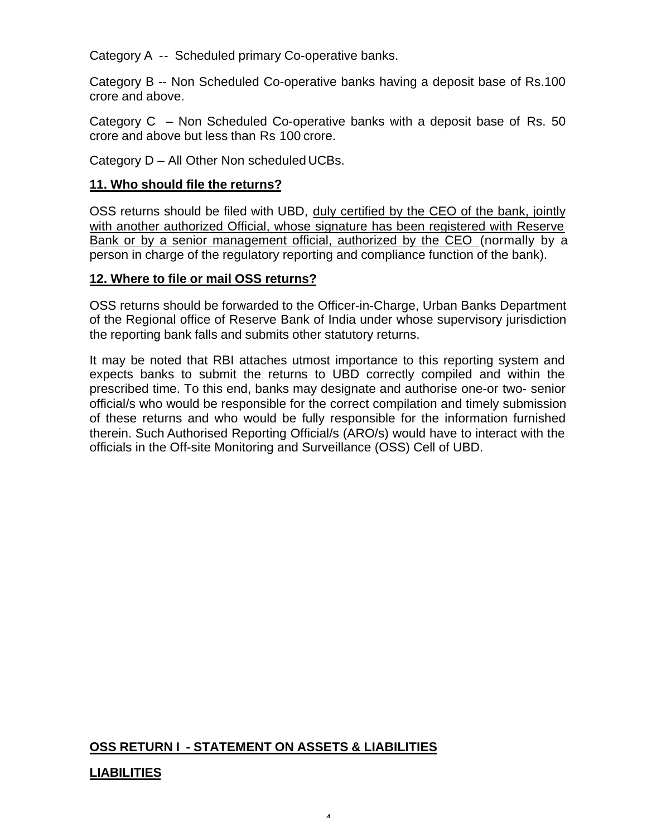Category A -- Scheduled primary Co-operative banks.

Category B -- Non Scheduled Co-operative banks having a deposit base of Rs.100 crore and above.

Category C – Non Scheduled Co-operative banks with a deposit base of Rs. 50 crore and above but less than Rs 100 crore.

Category D – All Other Non scheduled UCBs.

# **11. Who should file the returns?**

OSS returns should be filed with UBD, duly certified by the CEO of the bank, jointly with another authorized Official, whose signature has been registered with Reserve Bank or by a senior management official, authorized by the CEO (normally by a person in charge of the regulatory reporting and compliance function of the bank).

# **12. Where to file or mail OSS returns?**

OSS returns should be forwarded to the Officer-in-Charge, Urban Banks Department of the Regional office of Reserve Bank of India under whose supervisory jurisdiction the reporting bank falls and submits other statutory returns.

It may be noted that RBI attaches utmost importance to this reporting system and expects banks to submit the returns to UBD correctly compiled and within the prescribed time. To this end, banks may designate and authorise one-or two- senior official/s who would be responsible for the correct compilation and timely submission of these returns and who would be fully responsible for the information furnished therein. Such Authorised Reporting Official/s (ARO/s) would have to interact with the officials in the Off-site Monitoring and Surveillance (OSS) Cell of UBD.

# **OSS RETURN I - STATEMENT ON ASSETS & LIABILITIES**

# **LIABILITIES**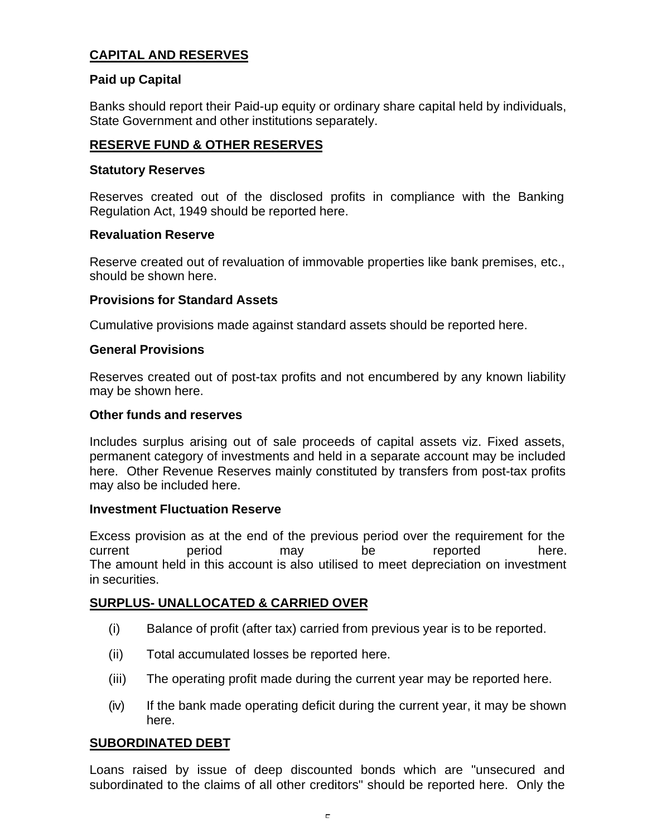# **CAPITAL AND RESERVES**

# **Paid up Capital**

Banks should report their Paid-up equity or ordinary share capital held by individuals, State Government and other institutions separately.

# **RESERVE FUND & OTHER RESERVES**

#### **Statutory Reserves**

Reserves created out of the disclosed profits in compliance with the Banking Regulation Act, 1949 should be reported here.

#### **Revaluation Reserve**

Reserve created out of revaluation of immovable properties like bank premises, etc., should be shown here.

### **Provisions for Standard Assets**

Cumulative provisions made against standard assets should be reported here.

#### **General Provisions**

Reserves created out of post-tax profits and not encumbered by any known liability may be shown here.

#### **Other funds and reserves**

Includes surplus arising out of sale proceeds of capital assets viz. Fixed assets, permanent category of investments and held in a separate account may be included here. Other Revenue Reserves mainly constituted by transfers from post-tax profits may also be included here.

#### **Investment Fluctuation Reserve**

Excess provision as at the end of the previous period over the requirement for the current period may be reported here. The amount held in this account is also utilised to meet depreciation on investment in securities.

### **SURPLUS- UNALLOCATED & CARRIED OVER**

- (i) Balance of profit (after tax) carried from previous year is to be reported.
- (ii) Total accumulated losses be reported here.
- (iii) The operating profit made during the current year may be reported here.
- (iv) If the bank made operating deficit during the current year, it may be shown here.

### **SUBORDINATED DEBT**

Loans raised by issue of deep discounted bonds which are "unsecured and subordinated to the claims of all other creditors" should be reported here. Only the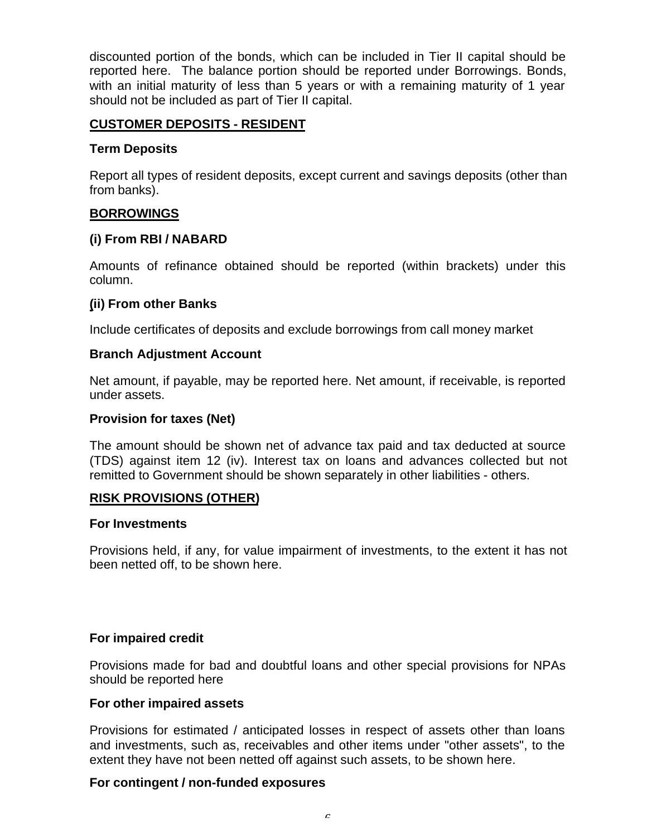discounted portion of the bonds, which can be included in Tier II capital should be reported here. The balance portion should be reported under Borrowings. Bonds, with an initial maturity of less than 5 years or with a remaining maturity of 1 year should not be included as part of Tier II capital.

# **CUSTOMER DEPOSITS - RESIDENT**

#### **Term Deposits**

Report all types of resident deposits, except current and savings deposits (other than from banks).

# **BORROWINGS**

### **(i) From RBI / NABARD**

Amounts of refinance obtained should be reported (within brackets) under this column.

### **(ii) From other Banks**

Include certificates of deposits and exclude borrowings from call money market

#### **Branch Adjustment Account**

Net amount, if payable, may be reported here. Net amount, if receivable, is reported under assets.

#### **Provision for taxes (Net)**

The amount should be shown net of advance tax paid and tax deducted at source (TDS) against item 12 (iv). Interest tax on loans and advances collected but not remitted to Government should be shown separately in other liabilities - others.

#### **RISK PROVISIONS (OTHER)**

#### **For Investments**

Provisions held, if any, for value impairment of investments, to the extent it has not been netted off, to be shown here.

### **For impaired credit**

Provisions made for bad and doubtful loans and other special provisions for NPAs should be reported here

#### **For other impaired assets**

Provisions for estimated / anticipated losses in respect of assets other than loans and investments, such as, receivables and other items under "other assets", to the extent they have not been netted off against such assets, to be shown here.

### **For contingent / non-funded exposures**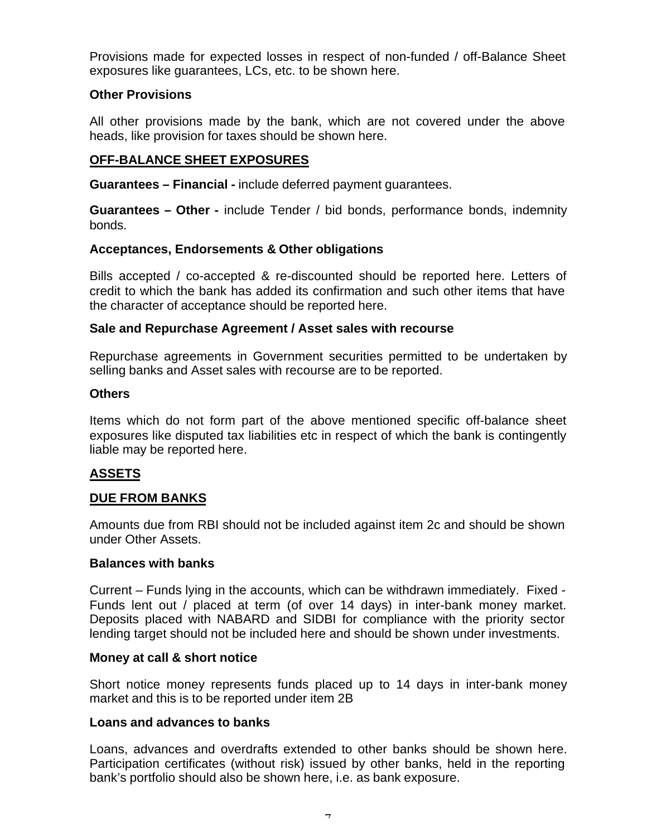Provisions made for expected losses in respect of non-funded / off-Balance Sheet exposures like guarantees, LCs, etc. to be shown here.

#### **Other Provisions**

All other provisions made by the bank, which are not covered under the above heads, like provision for taxes should be shown here.

## **OFF-BALANCE SHEET EXPOSURES**

**Guarantees – Financial -** include deferred payment guarantees.

**Guarantees – Other -** include Tender / bid bonds, performance bonds, indemnity bonds.

#### **Acceptances, Endorsements & Other obligations**

Bills accepted / co-accepted & re-discounted should be reported here. Letters of credit to which the bank has added its confirmation and such other items that have the character of acceptance should be reported here.

#### **Sale and Repurchase Agreement / Asset sales with recourse**

Repurchase agreements in Government securities permitted to be undertaken by selling banks and Asset sales with recourse are to be reported.

#### **Others**

Items which do not form part of the above mentioned specific off-balance sheet exposures like disputed tax liabilities etc in respect of which the bank is contingently liable may be reported here.

# **ASSETS**

#### **DUE FROM BANKS**

Amounts due from RBI should not be included against item 2c and should be shown under Other Assets.

#### **Balances with banks**

Current – Funds lying in the accounts, which can be withdrawn immediately. Fixed - Funds lent out / placed at term (of over 14 days) in inter-bank money market. Deposits placed with NABARD and SIDBI for compliance with the priority sector lending target should not be included here and should be shown under investments.

#### **Money at call & short notice**

Short notice money represents funds placed up to 14 days in inter-bank money market and this is to be reported under item 2B

#### **Loans and advances to banks**

Loans, advances and overdrafts extended to other banks should be shown here. Participation certificates (without risk) issued by other banks, held in the reporting bank's portfolio should also be shown here, i.e. as bank exposure.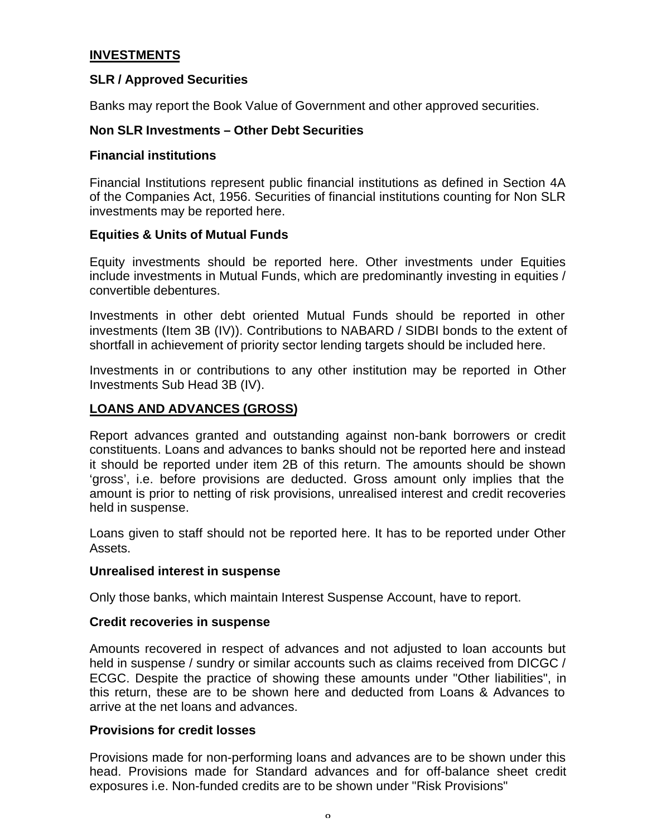# **INVESTMENTS**

#### **SLR / Approved Securities**

Banks may report the Book Value of Government and other approved securities.

#### **Non SLR Investments – Other Debt Securities**

#### **Financial institutions**

Financial Institutions represent public financial institutions as defined in Section 4A of the Companies Act, 1956. Securities of financial institutions counting for Non SLR investments may be reported here.

#### **Equities & Units of Mutual Funds**

Equity investments should be reported here. Other investments under Equities include investments in Mutual Funds, which are predominantly investing in equities / convertible debentures.

Investments in other debt oriented Mutual Funds should be reported in other investments (Item 3B (IV)). Contributions to NABARD / SIDBI bonds to the extent of shortfall in achievement of priority sector lending targets should be included here.

Investments in or contributions to any other institution may be reported in Other Investments Sub Head 3B (IV).

### **LOANS AND ADVANCES (GROSS)**

Report advances granted and outstanding against non-bank borrowers or credit constituents. Loans and advances to banks should not be reported here and instead it should be reported under item 2B of this return. The amounts should be shown 'gross', i.e. before provisions are deducted. Gross amount only implies that the amount is prior to netting of risk provisions, unrealised interest and credit recoveries held in suspense.

Loans given to staff should not be reported here. It has to be reported under Other Assets.

#### **Unrealised interest in suspense**

Only those banks, which maintain Interest Suspense Account, have to report.

#### **Credit recoveries in suspense**

Amounts recovered in respect of advances and not adjusted to loan accounts but held in suspense / sundry or similar accounts such as claims received from DICGC / ECGC. Despite the practice of showing these amounts under "Other liabilities", in this return, these are to be shown here and deducted from Loans & Advances to arrive at the net loans and advances.

#### **Provisions for credit losses**

Provisions made for non-performing loans and advances are to be shown under this head. Provisions made for Standard advances and for off-balance sheet credit exposures i.e. Non-funded credits are to be shown under "Risk Provisions"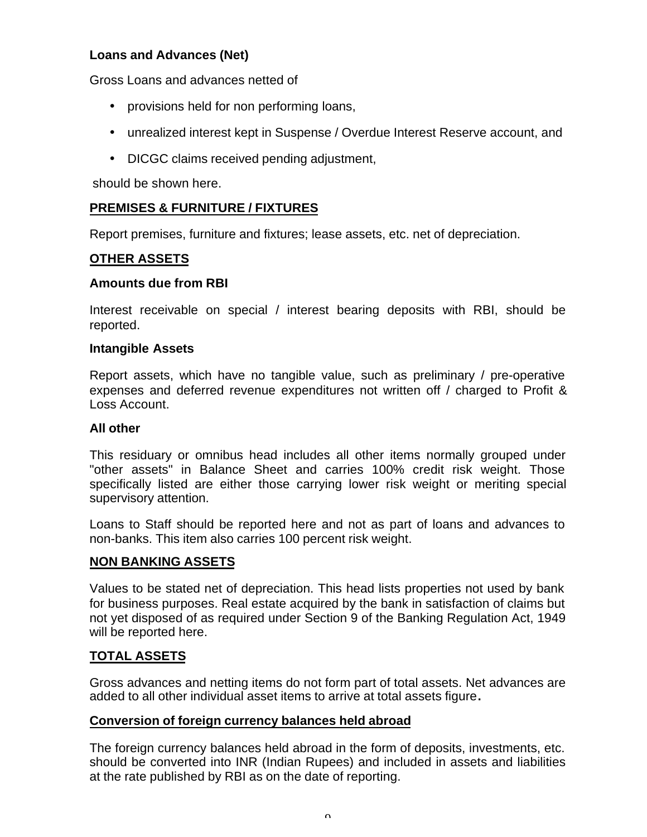# **Loans and Advances (Net)**

Gross Loans and advances netted of

- provisions held for non performing loans,
- unrealized interest kept in Suspense / Overdue Interest Reserve account, and
- DICGC claims received pending adjustment,

should be shown here.

# **PREMISES & FURNITURE / FIXTURES**

Report premises, furniture and fixtures; lease assets, etc. net of depreciation.

# **OTHER ASSETS**

#### **Amounts due from RBI**

Interest receivable on special / interest bearing deposits with RBI, should be reported.

#### **Intangible Assets**

Report assets, which have no tangible value, such as preliminary / pre-operative expenses and deferred revenue expenditures not written off / charged to Profit & Loss Account.

#### **All other**

This residuary or omnibus head includes all other items normally grouped under "other assets" in Balance Sheet and carries 100% credit risk weight. Those specifically listed are either those carrying lower risk weight or meriting special supervisory attention.

Loans to Staff should be reported here and not as part of loans and advances to non-banks. This item also carries 100 percent risk weight.

### **NON BANKING ASSETS**

Values to be stated net of depreciation. This head lists properties not used by bank for business purposes. Real estate acquired by the bank in satisfaction of claims but not yet disposed of as required under Section 9 of the Banking Regulation Act, 1949 will be reported here.

### **TOTAL ASSETS**

Gross advances and netting items do not form part of total assets. Net advances are added to all other individual asset items to arrive at total assets figure**.**

### **Conversion of foreign currency balances held abroad**

The foreign currency balances held abroad in the form of deposits, investments, etc. should be converted into INR (Indian Rupees) and included in assets and liabilities at the rate published by RBI as on the date of reporting.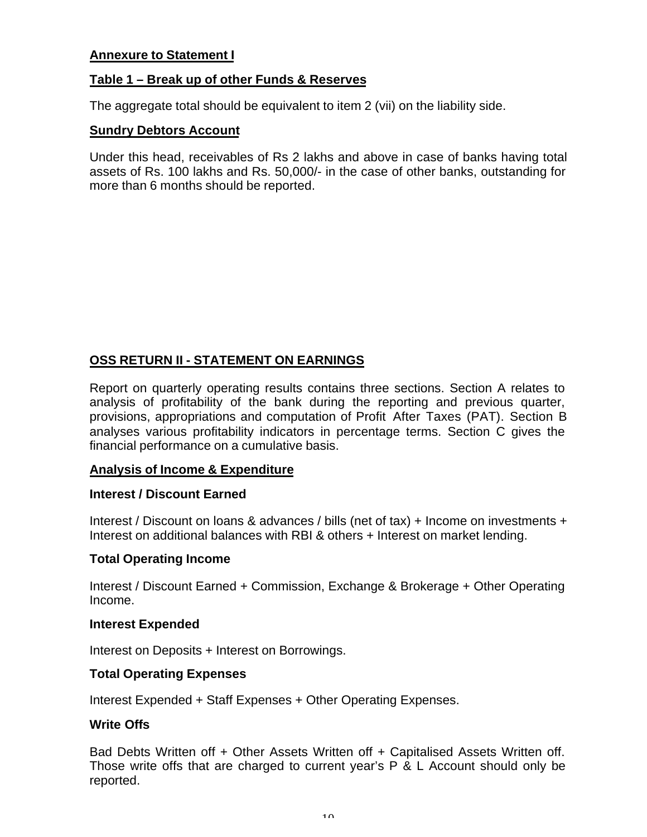### **Annexure to Statement I**

#### **Table 1 – Break up of other Funds & Reserves**

The aggregate total should be equivalent to item 2 (vii) on the liability side.

#### **Sundry Debtors Account**

Under this head, receivables of Rs 2 lakhs and above in case of banks having total assets of Rs. 100 lakhs and Rs. 50,000/- in the case of other banks, outstanding for more than 6 months should be reported.

### **OSS RETURN II - STATEMENT ON EARNINGS**

Report on quarterly operating results contains three sections. Section A relates to analysis of profitability of the bank during the reporting and previous quarter, provisions, appropriations and computation of Profit After Taxes (PAT). Section B analyses various profitability indicators in percentage terms. Section C gives the financial performance on a cumulative basis.

#### **Analysis of Income & Expenditure**

#### **Interest / Discount Earned**

Interest / Discount on loans & advances / bills (net of tax) + Income on investments + Interest on additional balances with RBI & others + Interest on market lending.

#### **Total Operating Income**

Interest / Discount Earned + Commission, Exchange & Brokerage + Other Operating Income.

#### **Interest Expended**

Interest on Deposits + Interest on Borrowings.

#### **Total Operating Expenses**

Interest Expended + Staff Expenses + Other Operating Expenses.

#### **Write Offs**

Bad Debts Written off + Other Assets Written off + Capitalised Assets Written off. Those write offs that are charged to current year's P & L Account should only be reported.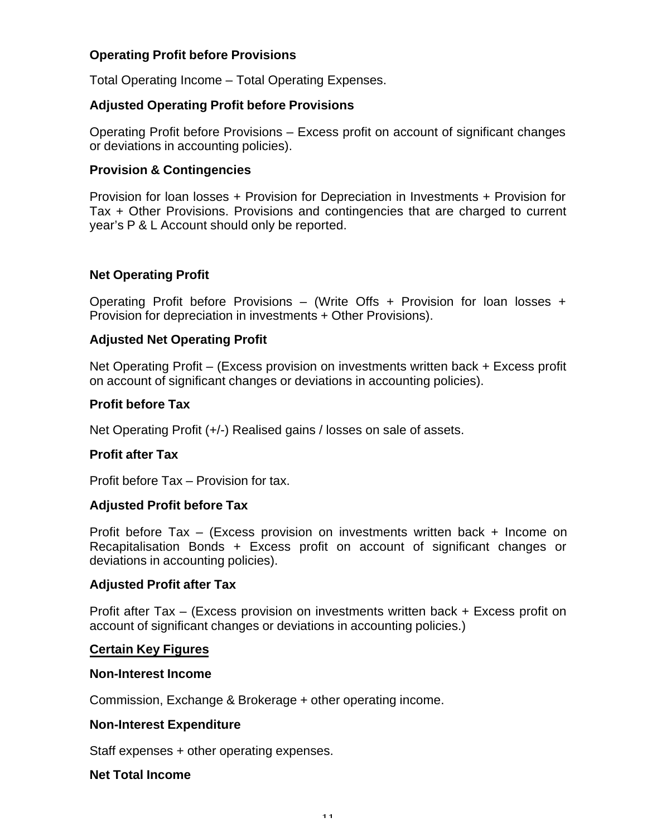# **Operating Profit before Provisions**

Total Operating Income – Total Operating Expenses.

## **Adjusted Operating Profit before Provisions**

Operating Profit before Provisions – Excess profit on account of significant changes or deviations in accounting policies).

## **Provision & Contingencies**

Provision for loan losses + Provision for Depreciation in Investments + Provision for Tax + Other Provisions. Provisions and contingencies that are charged to current year's P & L Account should only be reported.

# **Net Operating Profit**

Operating Profit before Provisions – (Write Offs + Provision for loan losses + Provision for depreciation in investments + Other Provisions).

# **Adjusted Net Operating Profit**

Net Operating Profit – (Excess provision on investments written back + Excess profit on account of significant changes or deviations in accounting policies).

### **Profit before Tax**

Net Operating Profit (+/-) Realised gains / losses on sale of assets.

### **Profit after Tax**

Profit before Tax – Provision for tax.

### **Adjusted Profit before Tax**

Profit before Tax – (Excess provision on investments written back + Income on Recapitalisation Bonds + Excess profit on account of significant changes or deviations in accounting policies).

### **Adjusted Profit after Tax**

Profit after Tax – (Excess provision on investments written back + Excess profit on account of significant changes or deviations in accounting policies.)

### **Certain Key Figures**

#### **Non-Interest Income**

Commission, Exchange & Brokerage + other operating income.

### **Non-Interest Expenditure**

Staff expenses + other operating expenses.

#### **Net Total Income**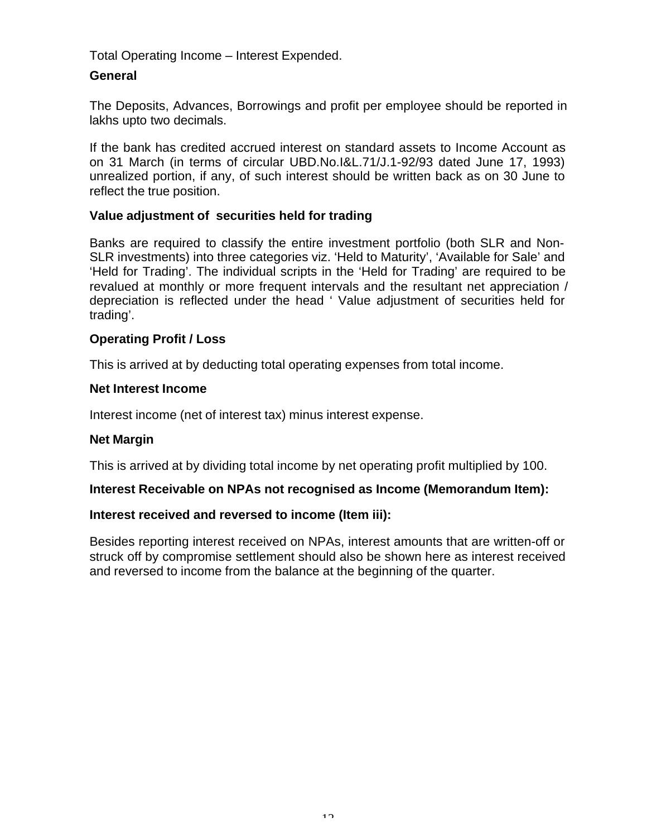Total Operating Income – Interest Expended.

# **General**

The Deposits, Advances, Borrowings and profit per employee should be reported in lakhs upto two decimals.

If the bank has credited accrued interest on standard assets to Income Account as on 31 March (in terms of circular UBD.No.I&L.71/J.1-92/93 dated June 17, 1993) unrealized portion, if any, of such interest should be written back as on 30 June to reflect the true position.

### **Value adjustment of securities held for trading**

Banks are required to classify the entire investment portfolio (both SLR and Non-SLR investments) into three categories viz. 'Held to Maturity', 'Available for Sale' and 'Held for Trading'. The individual scripts in the 'Held for Trading' are required to be revalued at monthly or more frequent intervals and the resultant net appreciation / depreciation is reflected under the head ' Value adjustment of securities held for trading'.

# **Operating Profit / Loss**

This is arrived at by deducting total operating expenses from total income.

### **Net Interest Income**

Interest income (net of interest tax) minus interest expense.

### **Net Margin**

This is arrived at by dividing total income by net operating profit multiplied by 100.

#### **Interest Receivable on NPAs not recognised as Income (Memorandum Item):**

### **Interest received and reversed to income (Item iii):**

Besides reporting interest received on NPAs, interest amounts that are written-off or struck off by compromise settlement should also be shown here as interest received and reversed to income from the balance at the beginning of the quarter.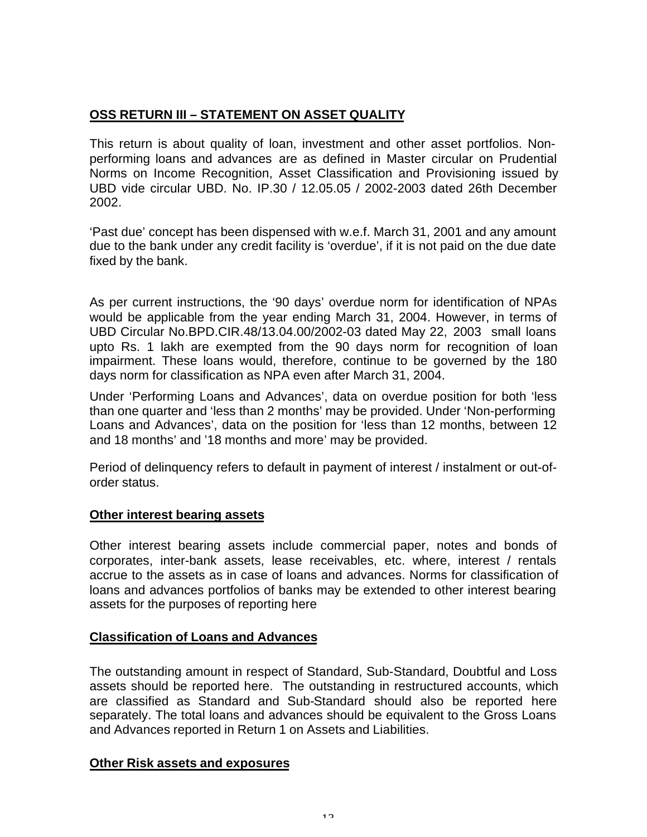# **OSS RETURN III – STATEMENT ON ASSET QUALITY**

This return is about quality of loan, investment and other asset portfolios. Nonperforming loans and advances are as defined in Master circular on Prudential Norms on Income Recognition, Asset Classification and Provisioning issued by UBD vide circular UBD. No. IP.30 / 12.05.05 / 2002-2003 dated 26th December 2002.

'Past due' concept has been dispensed with w.e.f. March 31, 2001 and any amount due to the bank under any credit facility is 'overdue', if it is not paid on the due date fixed by the bank.

As per current instructions, the '90 days' overdue norm for identification of NPAs would be applicable from the year ending March 31, 2004. However, in terms of UBD Circular No.BPD.CIR.48/13.04.00/2002-03 dated May 22, 2003 small loans upto Rs. 1 lakh are exempted from the 90 days norm for recognition of loan impairment. These loans would, therefore, continue to be governed by the 180 days norm for classification as NPA even after March 31, 2004.

Under 'Performing Loans and Advances', data on overdue position for both 'less than one quarter and 'less than 2 months' may be provided. Under 'Non-performing Loans and Advances', data on the position for 'less than 12 months, between 12 and 18 months' and '18 months and more' may be provided.

Period of delinquency refers to default in payment of interest / instalment or out-oforder status.

### **Other interest bearing assets**

Other interest bearing assets include commercial paper, notes and bonds of corporates, inter-bank assets, lease receivables, etc. where, interest / rentals accrue to the assets as in case of loans and advances. Norms for classification of loans and advances portfolios of banks may be extended to other interest bearing assets for the purposes of reporting here

### **Classification of Loans and Advances**

The outstanding amount in respect of Standard, Sub-Standard, Doubtful and Loss assets should be reported here. The outstanding in restructured accounts, which are classified as Standard and Sub-Standard should also be reported here separately. The total loans and advances should be equivalent to the Gross Loans and Advances reported in Return 1 on Assets and Liabilities.

### **Other Risk assets and exposures**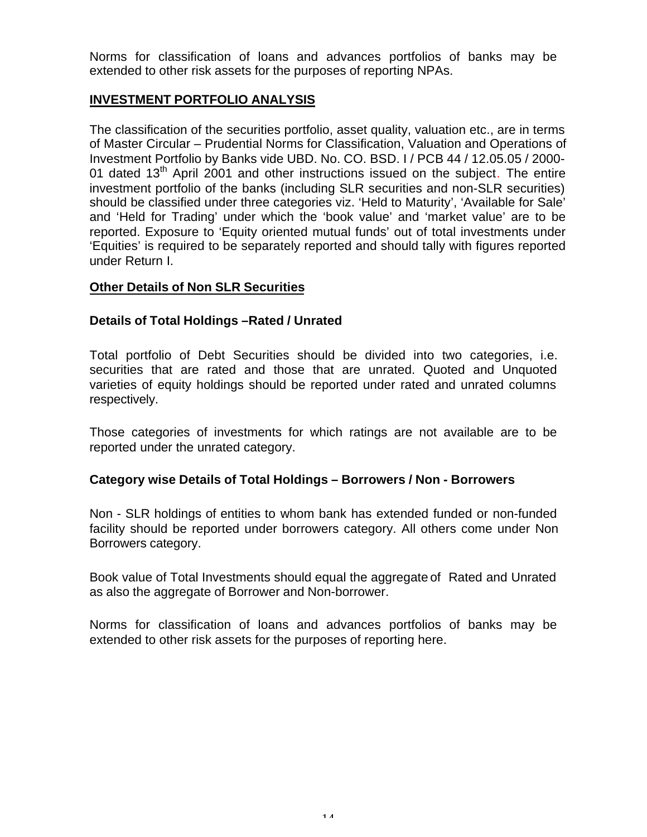Norms for classification of loans and advances portfolios of banks may be extended to other risk assets for the purposes of reporting NPAs.

# **INVESTMENT PORTFOLIO ANALYSIS**

The classification of the securities portfolio, asset quality, valuation etc., are in terms of Master Circular – Prudential Norms for Classification, Valuation and Operations of Investment Portfolio by Banks vide UBD. No. CO. BSD. I / PCB 44 / 12.05.05 / 2000- 01 dated  $13<sup>th</sup>$  April 2001 and other instructions issued on the subject. The entire investment portfolio of the banks (including SLR securities and non-SLR securities) should be classified under three categories viz. 'Held to Maturity', 'Available for Sale' and 'Held for Trading' under which the 'book value' and 'market value' are to be reported. Exposure to 'Equity oriented mutual funds' out of total investments under 'Equities' is required to be separately reported and should tally with figures reported under Return I.

# **Other Details of Non SLR Securities**

### **Details of Total Holdings –Rated / Unrated**

Total portfolio of Debt Securities should be divided into two categories, i.e. securities that are rated and those that are unrated. Quoted and Unquoted varieties of equity holdings should be reported under rated and unrated columns respectively.

Those categories of investments for which ratings are not available are to be reported under the unrated category.

### **Category wise Details of Total Holdings – Borrowers / Non - Borrowers**

Non - SLR holdings of entities to whom bank has extended funded or non-funded facility should be reported under borrowers category. All others come under Non Borrowers category.

Book value of Total Investments should equal the aggregate of Rated and Unrated as also the aggregate of Borrower and Non-borrower.

Norms for classification of loans and advances portfolios of banks may be extended to other risk assets for the purposes of reporting here.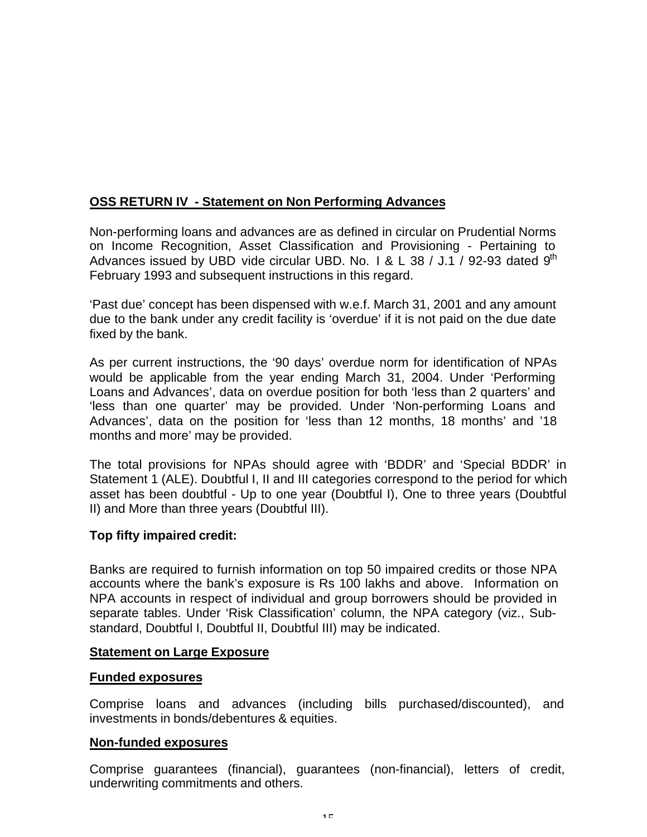# **OSS RETURN IV - Statement on Non Performing Advances**

Non-performing loans and advances are as defined in circular on Prudential Norms on Income Recognition, Asset Classification and Provisioning - Pertaining to Advances issued by UBD vide circular UBD. No. 1 & L 38 / J.1 / 92-93 dated  $9<sup>th</sup>$ February 1993 and subsequent instructions in this regard.

'Past due' concept has been dispensed with w.e.f. March 31, 2001 and any amount due to the bank under any credit facility is 'overdue' if it is not paid on the due date fixed by the bank.

As per current instructions, the '90 days' overdue norm for identification of NPAs would be applicable from the year ending March 31, 2004. Under 'Performing Loans and Advances', data on overdue position for both 'less than 2 quarters' and 'less than one quarter' may be provided. Under 'Non-performing Loans and Advances', data on the position for 'less than 12 months, 18 months' and '18 months and more' may be provided.

The total provisions for NPAs should agree with 'BDDR' and 'Special BDDR' in Statement 1 (ALE). Doubtful I, II and III categories correspond to the period for which asset has been doubtful - Up to one year (Doubtful I), One to three years (Doubtful II) and More than three years (Doubtful III).

### **Top fifty impaired credit:**

Banks are required to furnish information on top 50 impaired credits or those NPA accounts where the bank's exposure is Rs 100 lakhs and above. Information on NPA accounts in respect of individual and group borrowers should be provided in separate tables. Under 'Risk Classification' column, the NPA category (viz., Substandard, Doubtful I, Doubtful II, Doubtful III) may be indicated.

#### **Statement on Large Exposure**

#### **Funded exposures**

Comprise loans and advances (including bills purchased/discounted), and investments in bonds/debentures & equities.

#### **Non-funded exposures**

Comprise guarantees (financial), guarantees (non-financial), letters of credit, underwriting commitments and others.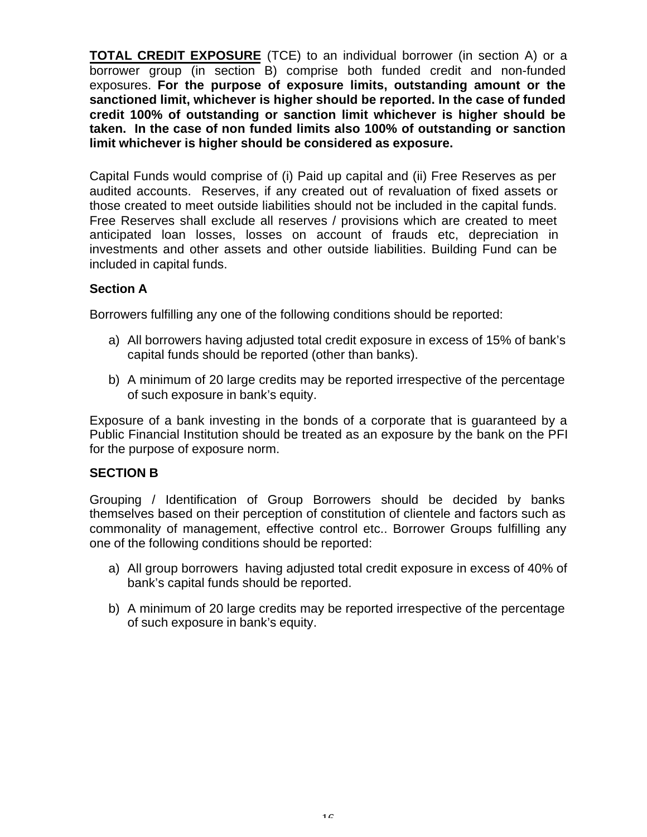**TOTAL CREDIT EXPOSURE** (TCE) to an individual borrower (in section A) or a borrower group (in section B) comprise both funded credit and non-funded exposures. **For the purpose of exposure limits, outstanding amount or the sanctioned limit, whichever is higher should be reported. In the case of funded credit 100% of outstanding or sanction limit whichever is higher should be taken. In the case of non funded limits also 100% of outstanding or sanction limit whichever is higher should be considered as exposure.**

Capital Funds would comprise of (i) Paid up capital and (ii) Free Reserves as per audited accounts. Reserves, if any created out of revaluation of fixed assets or those created to meet outside liabilities should not be included in the capital funds. Free Reserves shall exclude all reserves / provisions which are created to meet anticipated loan losses, losses on account of frauds etc, depreciation in investments and other assets and other outside liabilities. Building Fund can be included in capital funds.

### **Section A**

Borrowers fulfilling any one of the following conditions should be reported:

- a) All borrowers having adjusted total credit exposure in excess of 15% of bank's capital funds should be reported (other than banks).
- b) A minimum of 20 large credits may be reported irrespective of the percentage of such exposure in bank's equity.

Exposure of a bank investing in the bonds of a corporate that is guaranteed by a Public Financial Institution should be treated as an exposure by the bank on the PFI for the purpose of exposure norm.

### **SECTION B**

Grouping / Identification of Group Borrowers should be decided by banks themselves based on their perception of constitution of clientele and factors such as commonality of management, effective control etc.. Borrower Groups fulfilling any one of the following conditions should be reported:

- a) All group borrowers having adjusted total credit exposure in excess of 40% of bank's capital funds should be reported.
- b) A minimum of 20 large credits may be reported irrespective of the percentage of such exposure in bank's equity.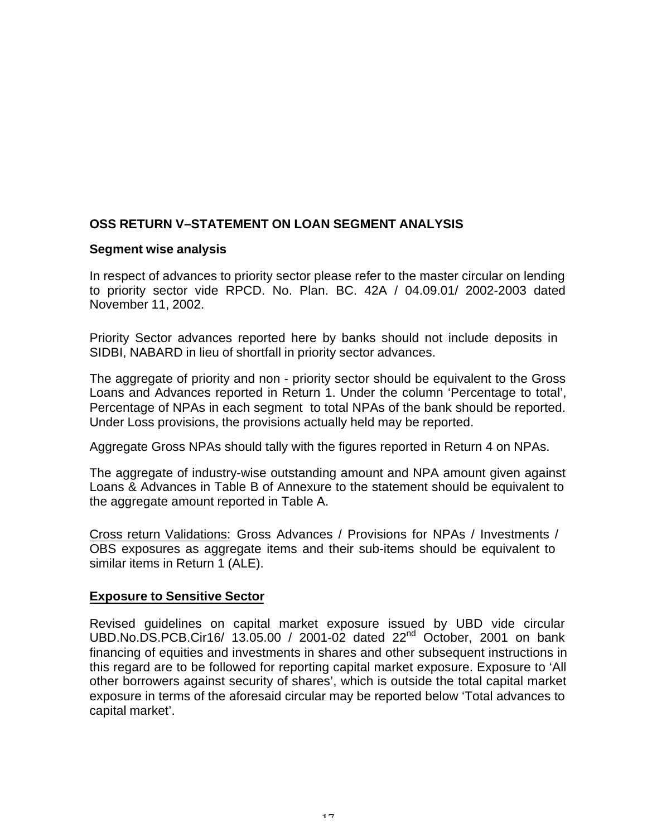# **OSS RETURN V–STATEMENT ON LOAN SEGMENT ANALYSIS**

#### **Segment wise analysis**

In respect of advances to priority sector please refer to the master circular on lending to priority sector vide RPCD. No. Plan. BC. 42A / 04.09.01/ 2002-2003 dated November 11, 2002.

Priority Sector advances reported here by banks should not include deposits in SIDBI, NABARD in lieu of shortfall in priority sector advances.

The aggregate of priority and non - priority sector should be equivalent to the Gross Loans and Advances reported in Return 1. Under the column 'Percentage to total', Percentage of NPAs in each segment to total NPAs of the bank should be reported. Under Loss provisions, the provisions actually held may be reported.

Aggregate Gross NPAs should tally with the figures reported in Return 4 on NPAs.

The aggregate of industry-wise outstanding amount and NPA amount given against Loans & Advances in Table B of Annexure to the statement should be equivalent to the aggregate amount reported in Table A.

Cross return Validations: Gross Advances / Provisions for NPAs / Investments / OBS exposures as aggregate items and their sub-items should be equivalent to similar items in Return 1 (ALE).

### **Exposure to Sensitive Sector**

Revised guidelines on capital market exposure issued by UBD vide circular UBD.No.DS.PCB.Cir16/ 13.05.00 / 2001-02 dated 22nd October, 2001 on bank financing of equities and investments in shares and other subsequent instructions in this regard are to be followed for reporting capital market exposure. Exposure to 'All other borrowers against security of shares', which is outside the total capital market exposure in terms of the aforesaid circular may be reported below 'Total advances to capital market'.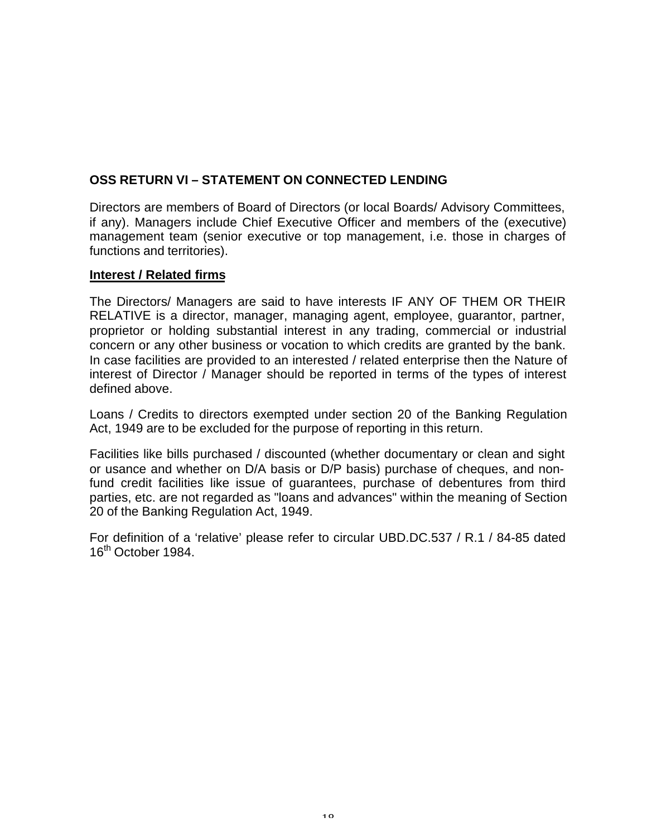# **OSS RETURN VI – STATEMENT ON CONNECTED LENDING**

Directors are members of Board of Directors (or local Boards/ Advisory Committees, if any). Managers include Chief Executive Officer and members of the (executive) management team (senior executive or top management, i.e. those in charges of functions and territories).

### **Interest / Related firms**

The Directors/ Managers are said to have interests IF ANY OF THEM OR THEIR RELATIVE is a director, manager, managing agent, employee, guarantor, partner, proprietor or holding substantial interest in any trading, commercial or industrial concern or any other business or vocation to which credits are granted by the bank. In case facilities are provided to an interested / related enterprise then the Nature of interest of Director / Manager should be reported in terms of the types of interest defined above.

Loans / Credits to directors exempted under section 20 of the Banking Regulation Act, 1949 are to be excluded for the purpose of reporting in this return.

Facilities like bills purchased / discounted (whether documentary or clean and sight or usance and whether on D/A basis or D/P basis) purchase of cheques, and nonfund credit facilities like issue of guarantees, purchase of debentures from third parties, etc. are not regarded as "loans and advances" within the meaning of Section 20 of the Banking Regulation Act, 1949.

For definition of a 'relative' please refer to circular UBD.DC.537 / R.1 / 84-85 dated 16<sup>th</sup> October 1984.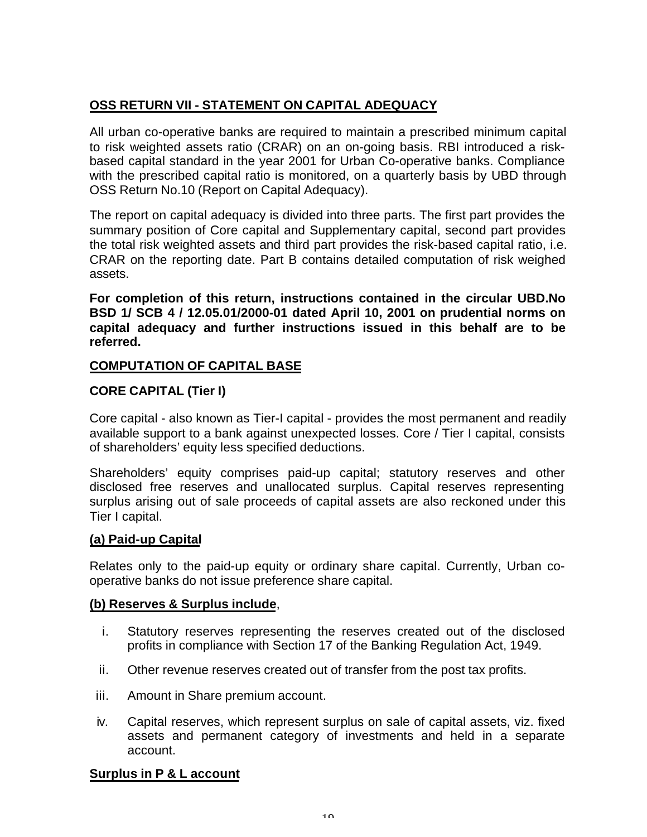# **OSS RETURN VII - STATEMENT ON CAPITAL ADEQUACY**

All urban co-operative banks are required to maintain a prescribed minimum capital to risk weighted assets ratio (CRAR) on an on-going basis. RBI introduced a riskbased capital standard in the year 2001 for Urban Co-operative banks. Compliance with the prescribed capital ratio is monitored, on a quarterly basis by UBD through OSS Return No.10 (Report on Capital Adequacy).

The report on capital adequacy is divided into three parts. The first part provides the summary position of Core capital and Supplementary capital, second part provides the total risk weighted assets and third part provides the risk-based capital ratio, i.e. CRAR on the reporting date. Part B contains detailed computation of risk weighed assets.

**For completion of this return, instructions contained in the circular UBD.No BSD 1/ SCB 4 / 12.05.01/2000-01 dated April 10, 2001 on prudential norms on capital adequacy and further instructions issued in this behalf are to be referred.**

# **COMPUTATION OF CAPITAL BASE**

# **CORE CAPITAL (Tier I)**

Core capital - also known as Tier-I capital - provides the most permanent and readily available support to a bank against unexpected losses. Core / Tier I capital, consists of shareholders' equity less specified deductions.

Shareholders' equity comprises paid-up capital; statutory reserves and other disclosed free reserves and unallocated surplus. Capital reserves representing surplus arising out of sale proceeds of capital assets are also reckoned under this Tier I capital.

### **(a) Paid-up Capital**

Relates only to the paid-up equity or ordinary share capital. Currently, Urban cooperative banks do not issue preference share capital.

### **(b) Reserves & Surplus include**,

- i. Statutory reserves representing the reserves created out of the disclosed profits in compliance with Section 17 of the Banking Regulation Act, 1949.
- ii. Other revenue reserves created out of transfer from the post tax profits.
- iii. Amount in Share premium account.
- iv. Capital reserves, which represent surplus on sale of capital assets, viz. fixed assets and permanent category of investments and held in a separate account.

### **Surplus in P & L account**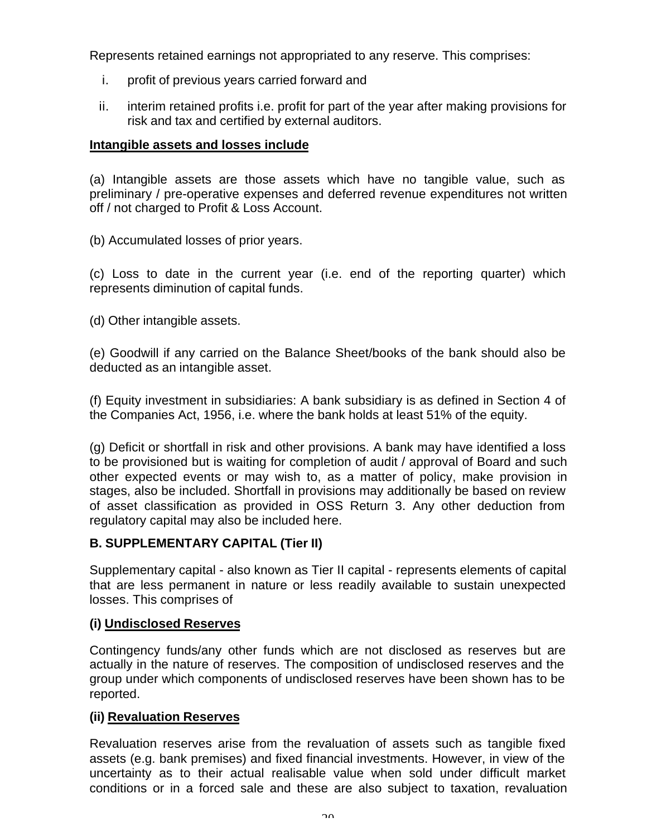Represents retained earnings not appropriated to any reserve. This comprises:

- i. profit of previous years carried forward and
- ii. interim retained profits i.e. profit for part of the year after making provisions for risk and tax and certified by external auditors.

# **Intangible assets and losses include**

(a) Intangible assets are those assets which have no tangible value, such as preliminary / pre-operative expenses and deferred revenue expenditures not written off / not charged to Profit & Loss Account.

(b) Accumulated losses of prior years.

(c) Loss to date in the current year (i.e. end of the reporting quarter) which represents diminution of capital funds.

(d) Other intangible assets.

(e) Goodwill if any carried on the Balance Sheet/books of the bank should also be deducted as an intangible asset.

(f) Equity investment in subsidiaries: A bank subsidiary is as defined in Section 4 of the Companies Act, 1956, i.e. where the bank holds at least 51% of the equity.

(g) Deficit or shortfall in risk and other provisions. A bank may have identified a loss to be provisioned but is waiting for completion of audit / approval of Board and such other expected events or may wish to, as a matter of policy, make provision in stages, also be included. Shortfall in provisions may additionally be based on review of asset classification as provided in OSS Return 3. Any other deduction from regulatory capital may also be included here.

# **B. SUPPLEMENTARY CAPITAL (Tier II)**

Supplementary capital - also known as Tier II capital - represents elements of capital that are less permanent in nature or less readily available to sustain unexpected losses. This comprises of

### **(i) Undisclosed Reserves**

Contingency funds/any other funds which are not disclosed as reserves but are actually in the nature of reserves. The composition of undisclosed reserves and the group under which components of undisclosed reserves have been shown has to be reported.

### **(ii) Revaluation Reserves**

Revaluation reserves arise from the revaluation of assets such as tangible fixed assets (e.g. bank premises) and fixed financial investments. However, in view of the uncertainty as to their actual realisable value when sold under difficult market conditions or in a forced sale and these are also subject to taxation, revaluation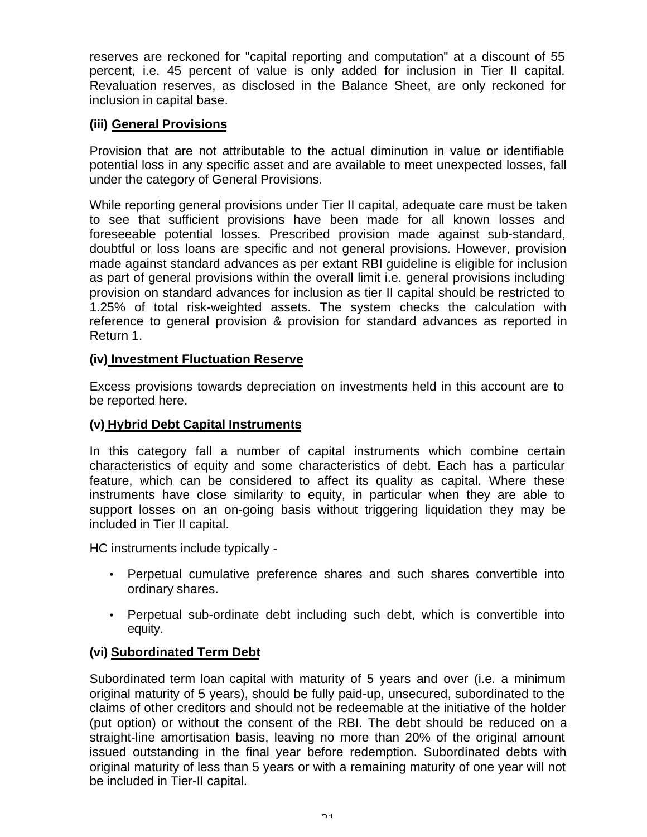reserves are reckoned for "capital reporting and computation" at a discount of 55 percent, i.e. 45 percent of value is only added for inclusion in Tier II capital. Revaluation reserves, as disclosed in the Balance Sheet, are only reckoned for inclusion in capital base.

# **(iii) General Provisions**

Provision that are not attributable to the actual diminution in value or identifiable potential loss in any specific asset and are available to meet unexpected losses, fall under the category of General Provisions.

While reporting general provisions under Tier II capital, adequate care must be taken to see that sufficient provisions have been made for all known losses and foreseeable potential losses. Prescribed provision made against sub-standard, doubtful or loss loans are specific and not general provisions. However, provision made against standard advances as per extant RBI guideline is eligible for inclusion as part of general provisions within the overall limit i.e. general provisions including provision on standard advances for inclusion as tier II capital should be restricted to 1.25% of total risk-weighted assets. The system checks the calculation with reference to general provision & provision for standard advances as reported in Return 1.

# **(iv) Investment Fluctuation Reserve**

Excess provisions towards depreciation on investments held in this account are to be reported here.

## **(v) Hybrid Debt Capital Instruments**

In this category fall a number of capital instruments which combine certain characteristics of equity and some characteristics of debt. Each has a particular feature, which can be considered to affect its quality as capital. Where these instruments have close similarity to equity, in particular when they are able to support losses on an on-going basis without triggering liquidation they may be included in Tier II capital.

HC instruments include typically -

- Perpetual cumulative preference shares and such shares convertible into ordinary shares.
- Perpetual sub-ordinate debt including such debt, which is convertible into equity.

# **(vi) Subordinated Term Debt**

Subordinated term loan capital with maturity of 5 years and over (i.e. a minimum original maturity of 5 years), should be fully paid-up, unsecured, subordinated to the claims of other creditors and should not be redeemable at the initiative of the holder (put option) or without the consent of the RBI. The debt should be reduced on a straight-line amortisation basis, leaving no more than 20% of the original amount issued outstanding in the final year before redemption. Subordinated debts with original maturity of less than 5 years or with a remaining maturity of one year will not be included in Tier-II capital.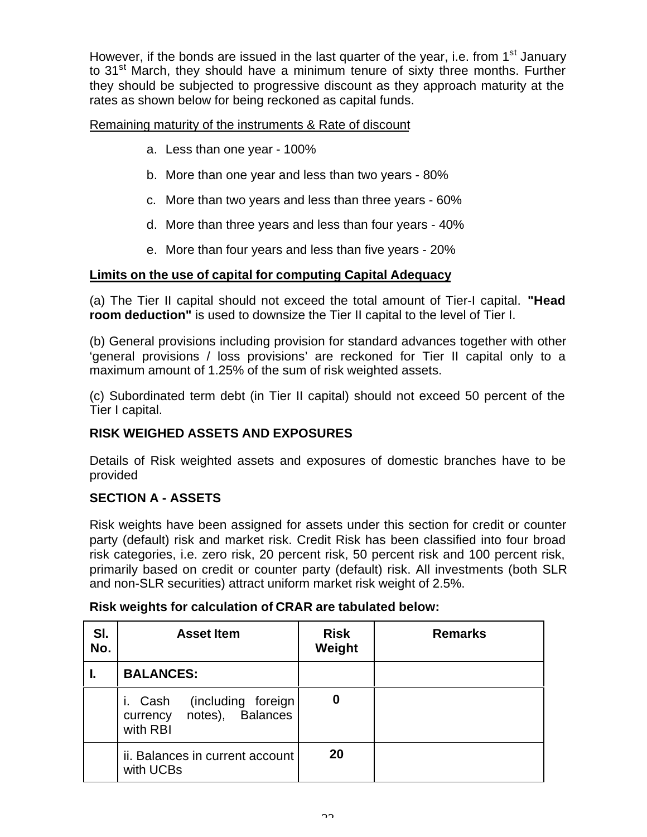However, if the bonds are issued in the last quarter of the year, i.e. from  $1<sup>st</sup>$  January to 31<sup>st</sup> March, they should have a minimum tenure of sixty three months. Further they should be subjected to progressive discount as they approach maturity at the rates as shown below for being reckoned as capital funds.

Remaining maturity of the instruments & Rate of discount

- a. Less than one year 100%
- b. More than one year and less than two years 80%
- c. More than two years and less than three years 60%
- d. More than three years and less than four years 40%
- e. More than four years and less than five years 20%

# **Limits on the use of capital for computing Capital Adequacy**

(a) The Tier II capital should not exceed the total amount of Tier-I capital. **"Head room deduction"** is used to downsize the Tier II capital to the level of Tier I.

(b) General provisions including provision for standard advances together with other 'general provisions / loss provisions' are reckoned for Tier II capital only to a maximum amount of 1.25% of the sum of risk weighted assets.

(c) Subordinated term debt (in Tier II capital) should not exceed 50 percent of the Tier I capital.

# **RISK WEIGHED ASSETS AND EXPOSURES**

Details of Risk weighted assets and exposures of domestic branches have to be provided

# **SECTION A - ASSETS**

Risk weights have been assigned for assets under this section for credit or counter party (default) risk and market risk. Credit Risk has been classified into four broad risk categories, i.e. zero risk, 20 percent risk, 50 percent risk and 100 percent risk, primarily based on credit or counter party (default) risk. All investments (both SLR and non-SLR securities) attract uniform market risk weight of 2.5%.

#### **Sl. No. Asset Item Risk Weight Remarks I. BALANCES:** i. Cash (including foreign currency notes), Balances with RBI **0** ii. Balances in current account with UCBs **20**

### **Risk weights for calculation of CRAR are tabulated below:**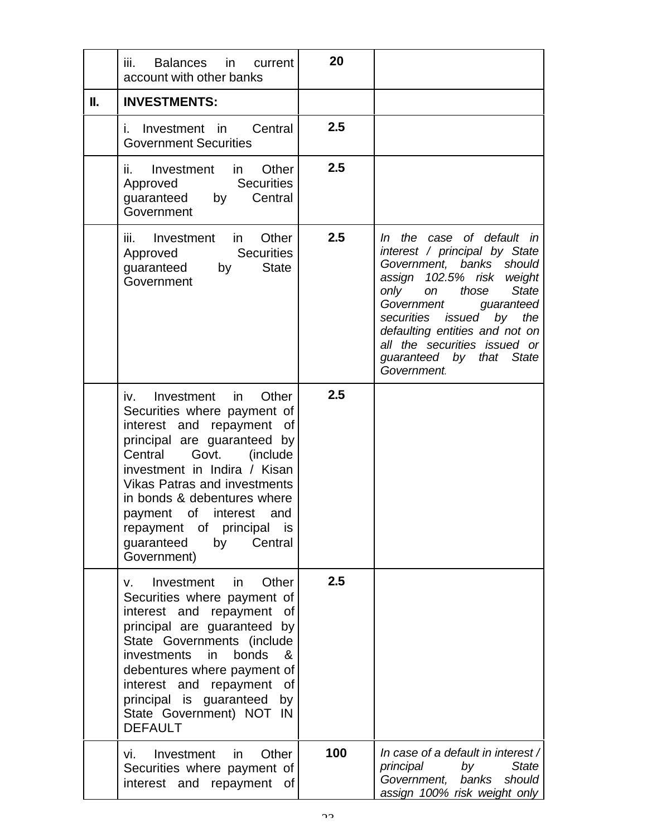|    | Balances in<br>iii.<br>current<br>account with other banks                                                                                                                                                                                                                                                                                                                            | 20  |                                                                                                                                                                                                                                                                                                                                       |
|----|---------------------------------------------------------------------------------------------------------------------------------------------------------------------------------------------------------------------------------------------------------------------------------------------------------------------------------------------------------------------------------------|-----|---------------------------------------------------------------------------------------------------------------------------------------------------------------------------------------------------------------------------------------------------------------------------------------------------------------------------------------|
| Н. | <b>INVESTMENTS:</b>                                                                                                                                                                                                                                                                                                                                                                   |     |                                                                                                                                                                                                                                                                                                                                       |
|    | Central<br>i. Investment in<br><b>Government Securities</b>                                                                                                                                                                                                                                                                                                                           | 2.5 |                                                                                                                                                                                                                                                                                                                                       |
|    | ii. Investment in<br>Other<br><b>Securities</b><br>Approved<br>Central<br>guaranteed by<br>Government                                                                                                                                                                                                                                                                                 | 2.5 |                                                                                                                                                                                                                                                                                                                                       |
|    | Other<br>Investment in<br>iii.<br><b>Securities</b><br>Approved<br><b>State</b><br>guaranteed<br>by<br>Government                                                                                                                                                                                                                                                                     | 2.5 | In the case of default in<br>interest / principal by State<br>Government, banks should<br>assign 102.5% risk weight<br>only<br>those<br><b>State</b><br>on<br>Government<br>guaranteed<br>securities issued<br>by<br>the<br>defaulting entities and not on<br>all the securities issued or<br>guaranteed by that State<br>Government. |
|    | Investment in<br>Other<br>iv.<br>Securities where payment of<br>interest and repayment<br>of<br>principal are guaranteed by<br>Central<br>Govt.<br>(include)<br>investment in Indira / Kisan<br><b>Vikas Patras and investments</b><br>in bonds & debentures where<br>payment of interest<br>and<br>repayment of principal<br><b>IS</b><br>guaranteed<br>Central<br>by<br>Government) | 2.5 |                                                                                                                                                                                                                                                                                                                                       |
|    | Investment<br>Other<br>in.<br>V.<br>Securities where payment of<br>interest and repayment<br>of<br>principal are guaranteed by<br>State Governments (include<br>investments<br>bonds<br>in.<br>&<br>debentures where payment of<br>interest and repayment<br>of<br>principal is guaranteed<br>by<br>State Government) NOT IN<br><b>DEFAULT</b>                                        | 2.5 |                                                                                                                                                                                                                                                                                                                                       |
|    | Other<br>Investment<br>in<br>vi.<br>Securities where payment of<br>interest and repayment of                                                                                                                                                                                                                                                                                          | 100 | In case of a default in interest /<br>principal<br>by<br><b>State</b><br>Government,<br>banks<br>should<br>assign 100% risk weight only                                                                                                                                                                                               |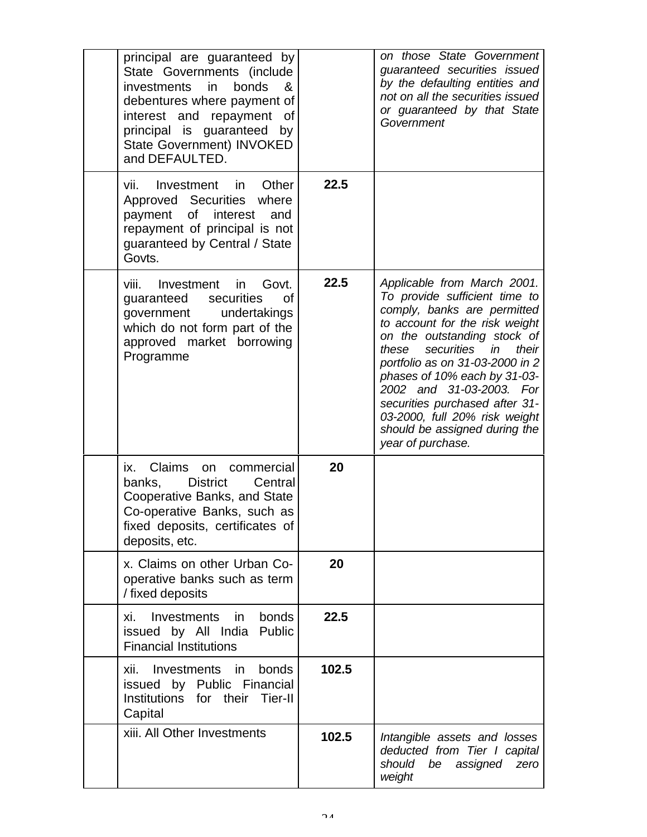| principal are guaranteed by<br>State Governments (include<br>bonds<br>&<br><i>investments</i><br>in.<br>debentures where payment of<br>interest and repayment of<br>principal is guaranteed<br>by<br>State Government) INVOKED<br>and DEFAULTED. |       | on those State Government<br>guaranteed securities issued<br>by the defaulting entities and<br>not on all the securities issued<br>or guaranteed by that State<br>Government                                                                                                                                                                                                                                            |
|--------------------------------------------------------------------------------------------------------------------------------------------------------------------------------------------------------------------------------------------------|-------|-------------------------------------------------------------------------------------------------------------------------------------------------------------------------------------------------------------------------------------------------------------------------------------------------------------------------------------------------------------------------------------------------------------------------|
| Other<br>Investment in<br>Vİİ.<br>Approved Securities where<br>interest<br>payment<br>οf<br>and<br>repayment of principal is not<br>guaranteed by Central / State<br>Govts.                                                                      | 22.5  |                                                                                                                                                                                                                                                                                                                                                                                                                         |
| Govt.<br>viii.<br>Investment in<br>guaranteed<br>securities<br>οf<br>undertakings<br>government<br>which do not form part of the<br>approved market borrowing<br>Programme                                                                       | 22.5  | Applicable from March 2001.<br>To provide sufficient time to<br>comply, banks are permitted<br>to account for the risk weight<br>on the outstanding stock of<br>securities in<br>these<br>their<br>portfolio as on 31-03-2000 in 2<br>phases of 10% each by 31-03-<br>2002 and 31-03-2003. For<br>securities purchased after 31-<br>03-2000, full 20% risk weight<br>should be assigned during the<br>year of purchase. |
| Claims<br>ix.<br>commercial<br>on<br><b>District</b><br>Central<br>banks,<br>Cooperative Banks, and State<br>Co-operative Banks, such as<br>fixed deposits, certificates of<br>deposits, etc.                                                    | 20    |                                                                                                                                                                                                                                                                                                                                                                                                                         |
| x. Claims on other Urban Co-<br>operative banks such as term<br>/ fixed deposits                                                                                                                                                                 | 20    |                                                                                                                                                                                                                                                                                                                                                                                                                         |
| Investments<br>bonds<br>xi.<br>in.<br>issued by All India<br>Public<br><b>Financial Institutions</b>                                                                                                                                             | 22.5  |                                                                                                                                                                                                                                                                                                                                                                                                                         |
| Investments in<br>bonds<br>xii.<br>issued by Public Financial<br>Institutions for their<br>Tier-II<br>Capital                                                                                                                                    | 102.5 |                                                                                                                                                                                                                                                                                                                                                                                                                         |
| xiii. All Other Investments                                                                                                                                                                                                                      | 102.5 | Intangible assets and losses<br>deducted from Tier I capital<br>should<br>be<br>assigned<br>zero<br>weight                                                                                                                                                                                                                                                                                                              |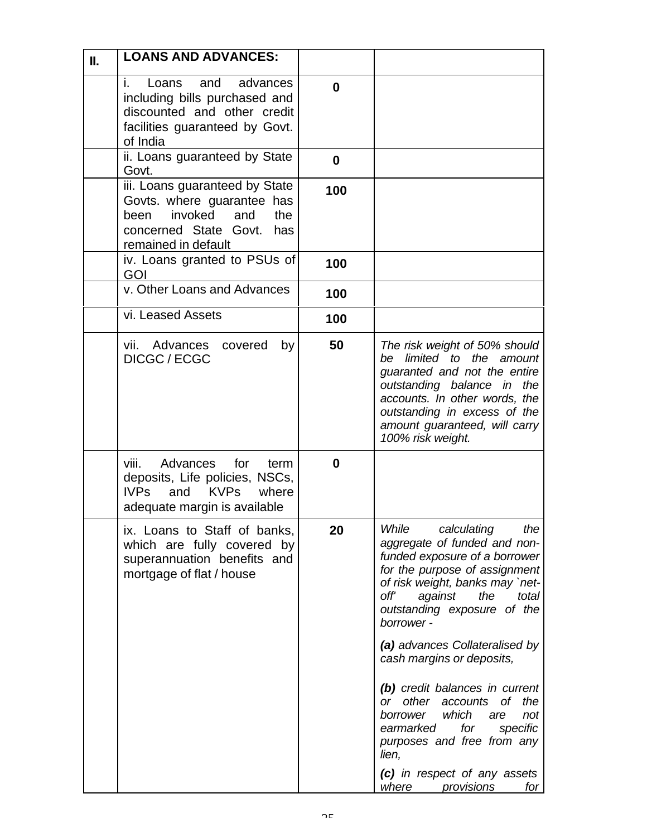|                                                                                                                                                                                                                                                                                                                                                                                                                                                                                                                                       |              | <b>LOANS AND ADVANCES:</b><br>Ш.                                                                                                                     |  |
|---------------------------------------------------------------------------------------------------------------------------------------------------------------------------------------------------------------------------------------------------------------------------------------------------------------------------------------------------------------------------------------------------------------------------------------------------------------------------------------------------------------------------------------|--------------|------------------------------------------------------------------------------------------------------------------------------------------------------|--|
|                                                                                                                                                                                                                                                                                                                                                                                                                                                                                                                                       | 0            | i.<br>Loans<br>and<br>advances<br>including bills purchased and<br>discounted and other credit<br>facilities guaranteed by Govt.<br>of India         |  |
|                                                                                                                                                                                                                                                                                                                                                                                                                                                                                                                                       | $\mathbf{0}$ | ii. Loans guaranteed by State<br>Govt.                                                                                                               |  |
|                                                                                                                                                                                                                                                                                                                                                                                                                                                                                                                                       | 100          | iii. Loans guaranteed by State<br>Govts. where guarantee has<br>invoked<br>and<br>been<br>the<br>concerned State Govt.<br>has<br>remained in default |  |
|                                                                                                                                                                                                                                                                                                                                                                                                                                                                                                                                       | 100          | iv. Loans granted to PSUs of<br>GOI                                                                                                                  |  |
|                                                                                                                                                                                                                                                                                                                                                                                                                                                                                                                                       | 100          |                                                                                                                                                      |  |
|                                                                                                                                                                                                                                                                                                                                                                                                                                                                                                                                       | 100          | vi. Leased Assets                                                                                                                                    |  |
| The risk weight of 50% should<br>be limited to the amount<br>guaranted and not the entire<br>outstanding balance in the<br>accounts. In other words, the<br>outstanding in excess of the<br>amount guaranteed, will carry<br>100% risk weight.                                                                                                                                                                                                                                                                                        | 50           | vii. Advances<br>by<br>covered<br>DICGC / ECGC                                                                                                       |  |
|                                                                                                                                                                                                                                                                                                                                                                                                                                                                                                                                       | 0            | Advances<br>for<br>viii.<br>term<br>deposits, Life policies, NSCs,<br><b>KVPs</b><br><b>IVPs</b><br>and<br>where<br>adequate margin is available     |  |
| While<br>calculating<br>the<br>aggregate of funded and non-<br>funded exposure of a borrower<br>for the purpose of assignment<br>of risk weight, banks may `net-<br>off'<br>against<br>the<br>total<br>outstanding exposure of the<br>borrower -<br>(a) advances Collateralised by<br>cash margins or deposits,<br>(b) credit balances in current<br>other<br>the<br>оf<br>or -<br>accounts<br>which<br>borrower<br>are<br>not<br>specific<br>earmarked<br>for<br>purposes and free from any<br>lien,<br>(c) in respect of any assets | 20           | ix. Loans to Staff of banks,<br>which are fully covered by<br>superannuation benefits and<br>mortgage of flat / house                                |  |
| where<br>provisions                                                                                                                                                                                                                                                                                                                                                                                                                                                                                                                   |              | v. Other Loans and Advances                                                                                                                          |  |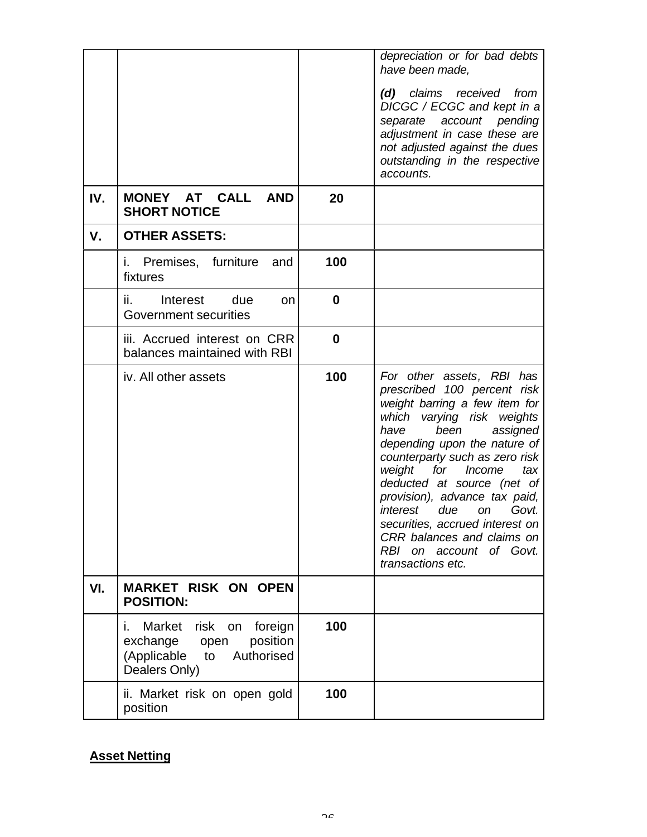|     |                                                                                                                        |          | depreciation or for bad debts<br>have been made,<br>claims received<br>from<br>(d)<br>DICGC / ECGC and kept in a<br>separate account pending<br>adjustment in case these are<br>not adjusted against the dues<br>outstanding in the respective<br>accounts.                                                                                                                                                                                                                  |
|-----|------------------------------------------------------------------------------------------------------------------------|----------|------------------------------------------------------------------------------------------------------------------------------------------------------------------------------------------------------------------------------------------------------------------------------------------------------------------------------------------------------------------------------------------------------------------------------------------------------------------------------|
| IV. | MONEY AT CALL<br><b>AND</b><br><b>SHORT NOTICE</b>                                                                     | 20       |                                                                                                                                                                                                                                                                                                                                                                                                                                                                              |
| ν.  | <b>OTHER ASSETS:</b>                                                                                                   |          |                                                                                                                                                                                                                                                                                                                                                                                                                                                                              |
|     | i. Premises, furniture<br>and<br>fixtures                                                                              | 100      |                                                                                                                                                                                                                                                                                                                                                                                                                                                                              |
|     | ii.<br>Interest<br>due<br><b>on</b><br>Government securities                                                           | 0        |                                                                                                                                                                                                                                                                                                                                                                                                                                                                              |
|     | iii. Accrued interest on CRR<br>balances maintained with RBI                                                           | $\bf{0}$ |                                                                                                                                                                                                                                                                                                                                                                                                                                                                              |
|     | iv. All other assets                                                                                                   | 100      | For other assets, RBI has<br>prescribed 100 percent risk<br>weight barring a few item for<br>which varying risk weights<br>have<br>assigned<br>been<br>depending upon the nature of<br>counterparty such as zero risk<br>weight<br>for<br>Income<br>tax<br>deducted at source (net of<br>provision), advance tax paid,<br>interest<br>due<br>Govt.<br>on<br>securities, accrued interest on<br>CRR balances and claims on<br>RBI on account<br>of Govt.<br>transactions etc. |
| VI. | <b>MARKET RISK ON OPEN</b><br><b>POSITION:</b>                                                                         |          |                                                                                                                                                                                                                                                                                                                                                                                                                                                                              |
|     | Market<br>risk<br>on foreign<br>Ĺ.<br>position<br>exchange<br>open<br>(Applicable<br>Authorised<br>to<br>Dealers Only) | 100      |                                                                                                                                                                                                                                                                                                                                                                                                                                                                              |
|     | ii. Market risk on open gold<br>position                                                                               | 100      |                                                                                                                                                                                                                                                                                                                                                                                                                                                                              |

# **Asset Netting**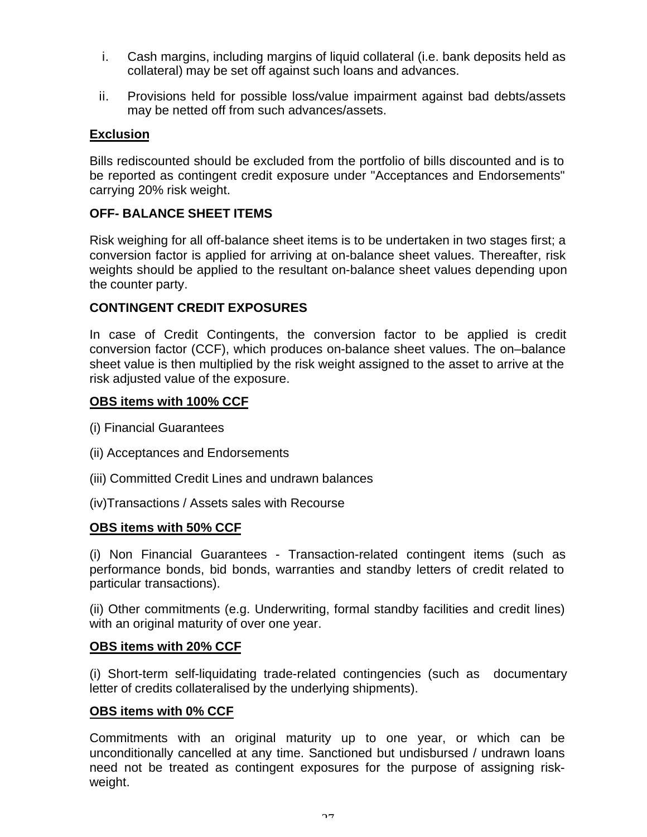- i. Cash margins, including margins of liquid collateral (i.e. bank deposits held as collateral) may be set off against such loans and advances.
- ii. Provisions held for possible loss/value impairment against bad debts/assets may be netted off from such advances/assets.

# **Exclusion**

Bills rediscounted should be excluded from the portfolio of bills discounted and is to be reported as contingent credit exposure under "Acceptances and Endorsements" carrying 20% risk weight.

# **OFF- BALANCE SHEET ITEMS**

Risk weighing for all off-balance sheet items is to be undertaken in two stages first; a conversion factor is applied for arriving at on-balance sheet values. Thereafter, risk weights should be applied to the resultant on-balance sheet values depending upon the counter party.

# **CONTINGENT CREDIT EXPOSURES**

In case of Credit Contingents, the conversion factor to be applied is credit conversion factor (CCF), which produces on-balance sheet values. The on–balance sheet value is then multiplied by the risk weight assigned to the asset to arrive at the risk adjusted value of the exposure.

### **OBS items with 100% CCF**

- (i) Financial Guarantees
- (ii) Acceptances and Endorsements
- (iii) Committed Credit Lines and undrawn balances
- (iv)Transactions / Assets sales with Recourse

### **OBS items with 50% CCF**

(i) Non Financial Guarantees - Transaction-related contingent items (such as performance bonds, bid bonds, warranties and standby letters of credit related to particular transactions).

(ii) Other commitments (e.g. Underwriting, formal standby facilities and credit lines) with an original maturity of over one year.

#### **OBS items with 20% CCF**

(i) Short-term self-liquidating trade-related contingencies (such as documentary letter of credits collateralised by the underlying shipments).

### **OBS items with 0% CCF**

Commitments with an original maturity up to one year, or which can be unconditionally cancelled at any time. Sanctioned but undisbursed / undrawn loans need not be treated as contingent exposures for the purpose of assigning riskweight.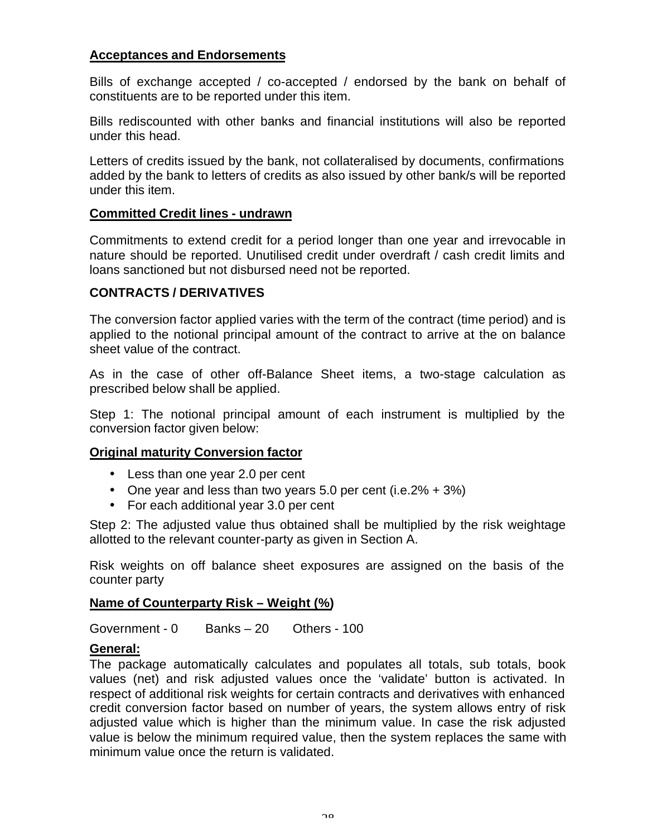## **Acceptances and Endorsements**

Bills of exchange accepted / co-accepted / endorsed by the bank on behalf of constituents are to be reported under this item.

Bills rediscounted with other banks and financial institutions will also be reported under this head.

Letters of credits issued by the bank, not collateralised by documents, confirmations added by the bank to letters of credits as also issued by other bank/s will be reported under this item.

### **Committed Credit lines - undrawn**

Commitments to extend credit for a period longer than one year and irrevocable in nature should be reported. Unutilised credit under overdraft / cash credit limits and loans sanctioned but not disbursed need not be reported.

# **CONTRACTS / DERIVATIVES**

The conversion factor applied varies with the term of the contract (time period) and is applied to the notional principal amount of the contract to arrive at the on balance sheet value of the contract.

As in the case of other off-Balance Sheet items, a two-stage calculation as prescribed below shall be applied.

Step 1: The notional principal amount of each instrument is multiplied by the conversion factor given below:

### **Original maturity Conversion factor**

- Less than one year 2.0 per cent
- One year and less than two years 5.0 per cent (i.e.  $2\% + 3\%)$
- For each additional year 3.0 per cent

Step 2: The adjusted value thus obtained shall be multiplied by the risk weightage allotted to the relevant counter-party as given in Section A.

Risk weights on off balance sheet exposures are assigned on the basis of the counter party

### **Name of Counterparty Risk – Weight (%)**

Government - 0 Banks – 20 Others - 100

### **General:**

The package automatically calculates and populates all totals, sub totals, book values (net) and risk adjusted values once the 'validate' button is activated. In respect of additional risk weights for certain contracts and derivatives with enhanced credit conversion factor based on number of years, the system allows entry of risk adjusted value which is higher than the minimum value. In case the risk adjusted value is below the minimum required value, then the system replaces the same with minimum value once the return is validated.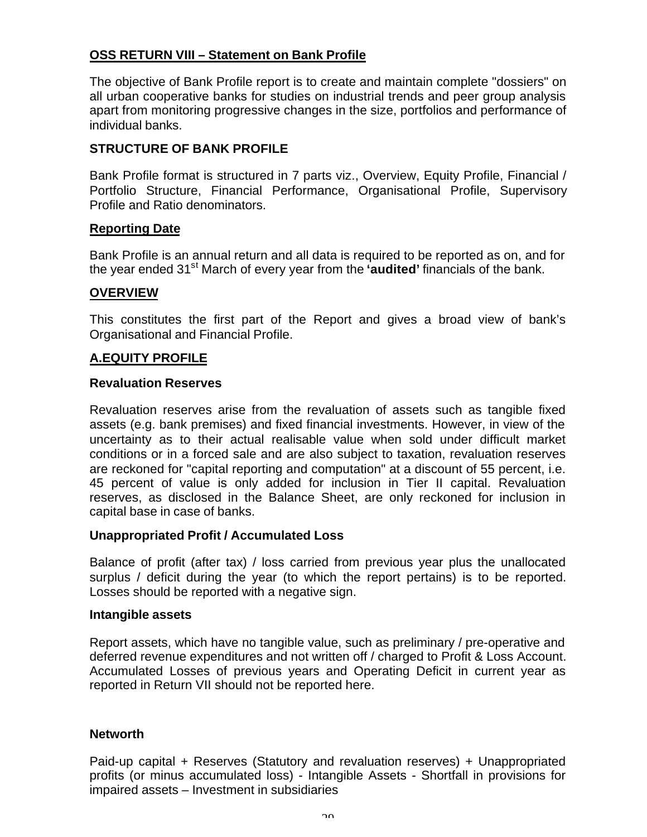# **OSS RETURN VIII – Statement on Bank Profile**

The objective of Bank Profile report is to create and maintain complete "dossiers" on all urban cooperative banks for studies on industrial trends and peer group analysis apart from monitoring progressive changes in the size, portfolios and performance of individual banks.

# **STRUCTURE OF BANK PROFILE**

Bank Profile format is structured in 7 parts viz., Overview, Equity Profile, Financial / Portfolio Structure, Financial Performance, Organisational Profile, Supervisory Profile and Ratio denominators.

### **Reporting Date**

Bank Profile is an annual return and all data is required to be reported as on, and for the year ended 31st March of every year from the **'audited'** financials of the bank.

#### **OVERVIEW**

This constitutes the first part of the Report and gives a broad view of bank's Organisational and Financial Profile.

### **A.EQUITY PROFILE**

#### **Revaluation Reserves**

Revaluation reserves arise from the revaluation of assets such as tangible fixed assets (e.g. bank premises) and fixed financial investments. However, in view of the uncertainty as to their actual realisable value when sold under difficult market conditions or in a forced sale and are also subject to taxation, revaluation reserves are reckoned for "capital reporting and computation" at a discount of 55 percent, i.e. 45 percent of value is only added for inclusion in Tier II capital. Revaluation reserves, as disclosed in the Balance Sheet, are only reckoned for inclusion in capital base in case of banks.

#### **Unappropriated Profit / Accumulated Loss**

Balance of profit (after tax) / loss carried from previous year plus the unallocated surplus / deficit during the year (to which the report pertains) is to be reported. Losses should be reported with a negative sign.

#### **Intangible assets**

Report assets, which have no tangible value, such as preliminary / pre-operative and deferred revenue expenditures and not written off / charged to Profit & Loss Account. Accumulated Losses of previous years and Operating Deficit in current year as reported in Return VII should not be reported here.

#### **Networth**

Paid-up capital + Reserves (Statutory and revaluation reserves) + Unappropriated profits (or minus accumulated loss) - Intangible Assets - Shortfall in provisions for impaired assets – Investment in subsidiaries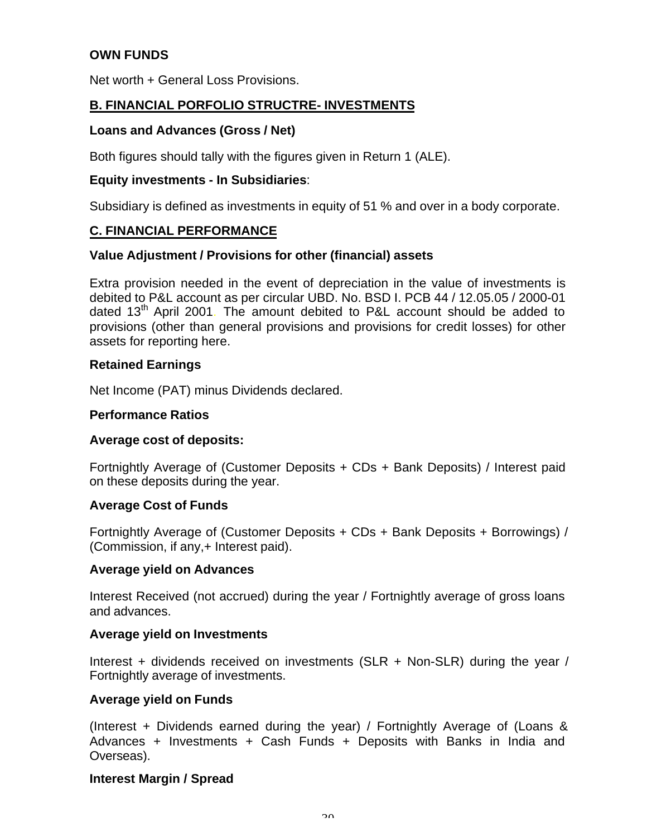# **OWN FUNDS**

Net worth + General Loss Provisions.

## **B. FINANCIAL PORFOLIO STRUCTRE- INVESTMENTS**

#### **Loans and Advances (Gross / Net)**

Both figures should tally with the figures given in Return 1 (ALE).

#### **Equity investments - In Subsidiaries**:

Subsidiary is defined as investments in equity of 51 % and over in a body corporate.

### **C. FINANCIAL PERFORMANCE**

#### **Value Adjustment / Provisions for other (financial) assets**

Extra provision needed in the event of depreciation in the value of investments is debited to P&L account as per circular UBD. No. BSD I. PCB 44 / 12.05.05 / 2000-01 dated  $13<sup>th</sup>$  April 2001. The amount debited to P&L account should be added to provisions (other than general provisions and provisions for credit losses) for other assets for reporting here.

#### **Retained Earnings**

Net Income (PAT) minus Dividends declared.

#### **Performance Ratios**

#### **Average cost of deposits:**

Fortnightly Average of (Customer Deposits + CDs + Bank Deposits) / Interest paid on these deposits during the year.

#### **Average Cost of Funds**

Fortnightly Average of (Customer Deposits + CDs + Bank Deposits + Borrowings) / (Commission, if any,+ Interest paid).

#### **Average yield on Advances**

Interest Received (not accrued) during the year / Fortnightly average of gross loans and advances.

#### **Average yield on Investments**

Interest + dividends received on investments (SLR + Non-SLR) during the year / Fortnightly average of investments.

#### **Average yield on Funds**

(Interest + Dividends earned during the year) / Fortnightly Average of (Loans & Advances + Investments + Cash Funds + Deposits with Banks in India and Overseas).

### **Interest Margin / Spread**